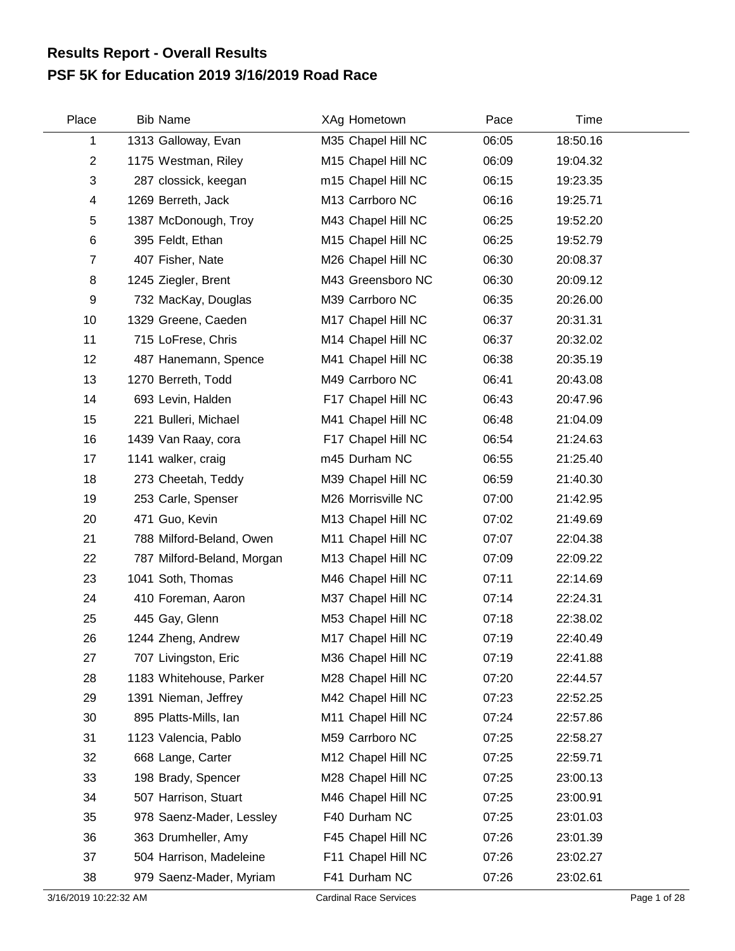## **PSF 5K for Education 2019 3/16/2019 Road Race Results Report - Overall Results**

| Place          | <b>Bib Name</b>            | XAg Hometown       | Pace  | Time     |  |
|----------------|----------------------------|--------------------|-------|----------|--|
| 1              | 1313 Galloway, Evan        | M35 Chapel Hill NC | 06:05 | 18:50.16 |  |
| $\overline{c}$ | 1175 Westman, Riley        | M15 Chapel Hill NC | 06:09 | 19:04.32 |  |
| 3              | 287 clossick, keegan       | m15 Chapel Hill NC | 06:15 | 19:23.35 |  |
| 4              | 1269 Berreth, Jack         | M13 Carrboro NC    | 06:16 | 19:25.71 |  |
| 5              | 1387 McDonough, Troy       | M43 Chapel Hill NC | 06:25 | 19:52.20 |  |
| 6              | 395 Feldt, Ethan           | M15 Chapel Hill NC | 06:25 | 19:52.79 |  |
| $\overline{7}$ | 407 Fisher, Nate           | M26 Chapel Hill NC | 06:30 | 20:08.37 |  |
| 8              | 1245 Ziegler, Brent        | M43 Greensboro NC  | 06:30 | 20:09.12 |  |
| 9              | 732 MacKay, Douglas        | M39 Carrboro NC    | 06:35 | 20:26.00 |  |
| 10             | 1329 Greene, Caeden        | M17 Chapel Hill NC | 06:37 | 20:31.31 |  |
| 11             | 715 LoFrese, Chris         | M14 Chapel Hill NC | 06:37 | 20:32.02 |  |
| 12             | 487 Hanemann, Spence       | M41 Chapel Hill NC | 06:38 | 20:35.19 |  |
| 13             | 1270 Berreth, Todd         | M49 Carrboro NC    | 06:41 | 20:43.08 |  |
| 14             | 693 Levin, Halden          | F17 Chapel Hill NC | 06:43 | 20:47.96 |  |
| 15             | 221 Bulleri, Michael       | M41 Chapel Hill NC | 06:48 | 21:04.09 |  |
| 16             | 1439 Van Raay, cora        | F17 Chapel Hill NC | 06:54 | 21:24.63 |  |
| 17             | 1141 walker, craig         | m45 Durham NC      | 06:55 | 21:25.40 |  |
| 18             | 273 Cheetah, Teddy         | M39 Chapel Hill NC | 06:59 | 21:40.30 |  |
| 19             | 253 Carle, Spenser         | M26 Morrisville NC | 07:00 | 21:42.95 |  |
| 20             | 471 Guo, Kevin             | M13 Chapel Hill NC | 07:02 | 21:49.69 |  |
| 21             | 788 Milford-Beland, Owen   | M11 Chapel Hill NC | 07:07 | 22:04.38 |  |
| 22             | 787 Milford-Beland, Morgan | M13 Chapel Hill NC | 07:09 | 22:09.22 |  |
| 23             | 1041 Soth, Thomas          | M46 Chapel Hill NC | 07:11 | 22:14.69 |  |
| 24             | 410 Foreman, Aaron         | M37 Chapel Hill NC | 07:14 | 22:24.31 |  |
| 25             | 445 Gay, Glenn             | M53 Chapel Hill NC | 07:18 | 22:38.02 |  |
| 26             | 1244 Zheng, Andrew         | M17 Chapel Hill NC | 07:19 | 22:40.49 |  |
| 27             | 707 Livingston, Eric       | M36 Chapel Hill NC | 07:19 | 22:41.88 |  |
| 28             | 1183 Whitehouse, Parker    | M28 Chapel Hill NC | 07:20 | 22:44.57 |  |
| 29             | 1391 Nieman, Jeffrey       | M42 Chapel Hill NC | 07:23 | 22:52.25 |  |
| 30             | 895 Platts-Mills, Ian      | M11 Chapel Hill NC | 07:24 | 22:57.86 |  |
| 31             | 1123 Valencia, Pablo       | M59 Carrboro NC    | 07:25 | 22:58.27 |  |
| 32             | 668 Lange, Carter          | M12 Chapel Hill NC | 07:25 | 22:59.71 |  |
| 33             | 198 Brady, Spencer         | M28 Chapel Hill NC | 07:25 | 23:00.13 |  |
| 34             | 507 Harrison, Stuart       | M46 Chapel Hill NC | 07:25 | 23:00.91 |  |
| 35             | 978 Saenz-Mader, Lessley   | F40 Durham NC      | 07:25 | 23:01.03 |  |
| 36             | 363 Drumheller, Amy        | F45 Chapel Hill NC | 07:26 | 23:01.39 |  |
| 37             | 504 Harrison, Madeleine    | F11 Chapel Hill NC | 07:26 | 23:02.27 |  |
| 38             | 979 Saenz-Mader, Myriam    | F41 Durham NC      | 07:26 | 23:02.61 |  |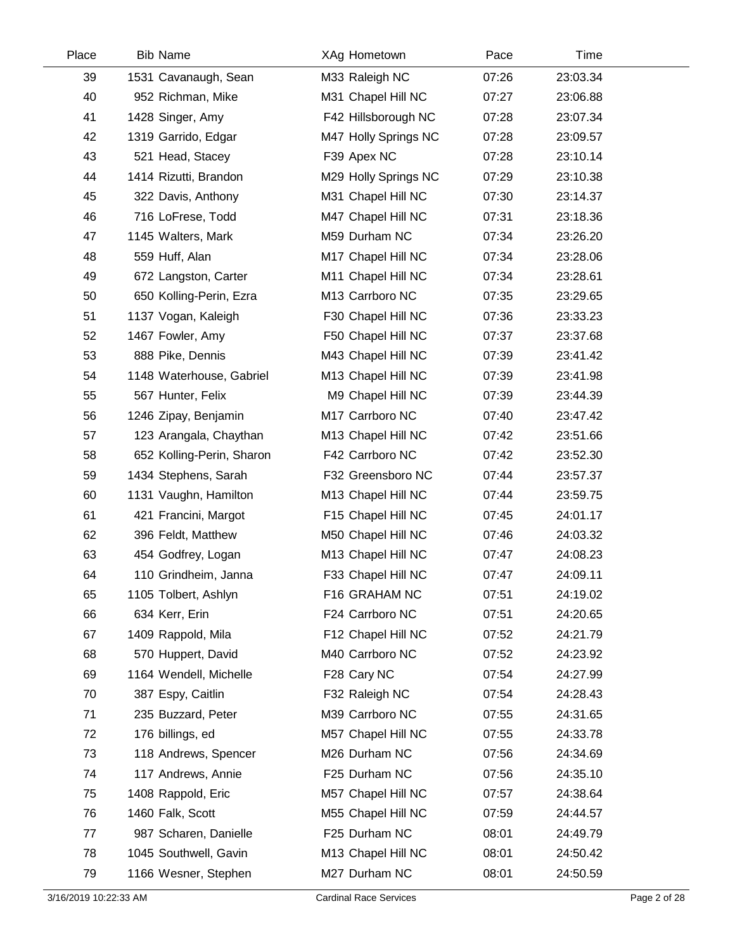| Place | <b>Bib Name</b>           | XAg Hometown         | Pace  | Time     |  |
|-------|---------------------------|----------------------|-------|----------|--|
| 39    | 1531 Cavanaugh, Sean      | M33 Raleigh NC       | 07:26 | 23:03.34 |  |
| 40    | 952 Richman, Mike         | M31 Chapel Hill NC   | 07:27 | 23:06.88 |  |
| 41    | 1428 Singer, Amy          | F42 Hillsborough NC  | 07:28 | 23:07.34 |  |
| 42    | 1319 Garrido, Edgar       | M47 Holly Springs NC | 07:28 | 23:09.57 |  |
| 43    | 521 Head, Stacey          | F39 Apex NC          | 07:28 | 23:10.14 |  |
| 44    | 1414 Rizutti, Brandon     | M29 Holly Springs NC | 07:29 | 23:10.38 |  |
| 45    | 322 Davis, Anthony        | M31 Chapel Hill NC   | 07:30 | 23:14.37 |  |
| 46    | 716 LoFrese, Todd         | M47 Chapel Hill NC   | 07:31 | 23:18.36 |  |
| 47    | 1145 Walters, Mark        | M59 Durham NC        | 07:34 | 23:26.20 |  |
| 48    | 559 Huff, Alan            | M17 Chapel Hill NC   | 07:34 | 23:28.06 |  |
| 49    | 672 Langston, Carter      | M11 Chapel Hill NC   | 07:34 | 23:28.61 |  |
| 50    | 650 Kolling-Perin, Ezra   | M13 Carrboro NC      | 07:35 | 23:29.65 |  |
| 51    | 1137 Vogan, Kaleigh       | F30 Chapel Hill NC   | 07:36 | 23:33.23 |  |
| 52    | 1467 Fowler, Amy          | F50 Chapel Hill NC   | 07:37 | 23:37.68 |  |
| 53    | 888 Pike, Dennis          | M43 Chapel Hill NC   | 07:39 | 23:41.42 |  |
| 54    | 1148 Waterhouse, Gabriel  | M13 Chapel Hill NC   | 07:39 | 23:41.98 |  |
| 55    | 567 Hunter, Felix         | M9 Chapel Hill NC    | 07:39 | 23:44.39 |  |
| 56    | 1246 Zipay, Benjamin      | M17 Carrboro NC      | 07:40 | 23:47.42 |  |
| 57    | 123 Arangala, Chaythan    | M13 Chapel Hill NC   | 07:42 | 23:51.66 |  |
| 58    | 652 Kolling-Perin, Sharon | F42 Carrboro NC      | 07:42 | 23:52.30 |  |
| 59    | 1434 Stephens, Sarah      | F32 Greensboro NC    | 07:44 | 23:57.37 |  |
| 60    | 1131 Vaughn, Hamilton     | M13 Chapel Hill NC   | 07:44 | 23:59.75 |  |
| 61    | 421 Francini, Margot      | F15 Chapel Hill NC   | 07:45 | 24:01.17 |  |
| 62    | 396 Feldt, Matthew        | M50 Chapel Hill NC   | 07:46 | 24:03.32 |  |
| 63    | 454 Godfrey, Logan        | M13 Chapel Hill NC   | 07:47 | 24:08.23 |  |
| 64    | 110 Grindheim, Janna      | F33 Chapel Hill NC   | 07:47 | 24:09.11 |  |
| 65    | 1105 Tolbert, Ashlyn      | F16 GRAHAM NC        | 07:51 | 24:19.02 |  |
| 66    | 634 Kerr, Erin            | F24 Carrboro NC      | 07:51 | 24:20.65 |  |
| 67    | 1409 Rappold, Mila        | F12 Chapel Hill NC   | 07:52 | 24:21.79 |  |
| 68    | 570 Huppert, David        | M40 Carrboro NC      | 07:52 | 24:23.92 |  |
| 69    | 1164 Wendell, Michelle    | F28 Cary NC          | 07:54 | 24:27.99 |  |
| 70    | 387 Espy, Caitlin         | F32 Raleigh NC       | 07:54 | 24:28.43 |  |
| 71    | 235 Buzzard, Peter        | M39 Carrboro NC      | 07:55 | 24:31.65 |  |
| 72    | 176 billings, ed          | M57 Chapel Hill NC   | 07:55 | 24:33.78 |  |
| 73    | 118 Andrews, Spencer      | M26 Durham NC        | 07:56 | 24:34.69 |  |
| 74    | 117 Andrews, Annie        | F25 Durham NC        | 07:56 | 24:35.10 |  |
| 75    | 1408 Rappold, Eric        | M57 Chapel Hill NC   | 07:57 | 24:38.64 |  |
| 76    | 1460 Falk, Scott          | M55 Chapel Hill NC   | 07:59 | 24:44.57 |  |
| 77    | 987 Scharen, Danielle     | F25 Durham NC        | 08:01 | 24:49.79 |  |
| 78    | 1045 Southwell, Gavin     | M13 Chapel Hill NC   | 08:01 | 24:50.42 |  |
| 79    | 1166 Wesner, Stephen      | M27 Durham NC        | 08:01 | 24:50.59 |  |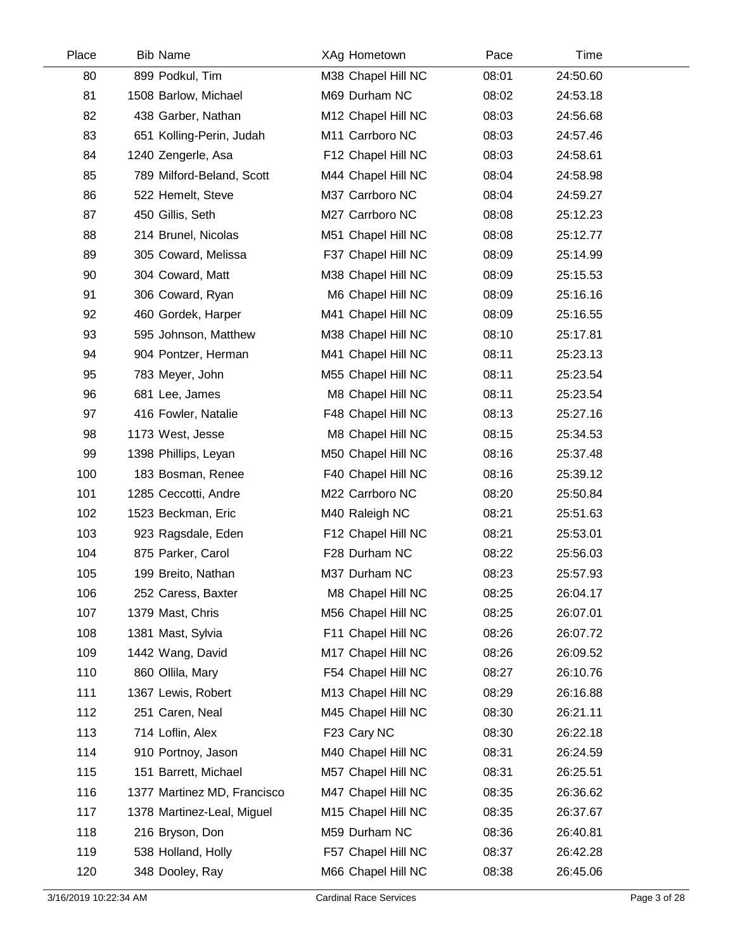| Place | <b>Bib Name</b>             | XAg Hometown       | Pace  | Time     |  |
|-------|-----------------------------|--------------------|-------|----------|--|
| 80    | 899 Podkul, Tim             | M38 Chapel Hill NC | 08:01 | 24:50.60 |  |
| 81    | 1508 Barlow, Michael        | M69 Durham NC      | 08:02 | 24:53.18 |  |
| 82    | 438 Garber, Nathan          | M12 Chapel Hill NC | 08:03 | 24:56.68 |  |
| 83    | 651 Kolling-Perin, Judah    | M11 Carrboro NC    | 08:03 | 24:57.46 |  |
| 84    | 1240 Zengerle, Asa          | F12 Chapel Hill NC | 08:03 | 24:58.61 |  |
| 85    | 789 Milford-Beland, Scott   | M44 Chapel Hill NC | 08:04 | 24:58.98 |  |
| 86    | 522 Hemelt, Steve           | M37 Carrboro NC    | 08:04 | 24:59.27 |  |
| 87    | 450 Gillis, Seth            | M27 Carrboro NC    | 08:08 | 25:12.23 |  |
| 88    | 214 Brunel, Nicolas         | M51 Chapel Hill NC | 08:08 | 25:12.77 |  |
| 89    | 305 Coward, Melissa         | F37 Chapel Hill NC | 08:09 | 25:14.99 |  |
| 90    | 304 Coward, Matt            | M38 Chapel Hill NC | 08:09 | 25:15.53 |  |
| 91    | 306 Coward, Ryan            | M6 Chapel Hill NC  | 08:09 | 25:16.16 |  |
| 92    | 460 Gordek, Harper          | M41 Chapel Hill NC | 08:09 | 25:16.55 |  |
| 93    | 595 Johnson, Matthew        | M38 Chapel Hill NC | 08:10 | 25:17.81 |  |
| 94    | 904 Pontzer, Herman         | M41 Chapel Hill NC | 08:11 | 25:23.13 |  |
| 95    | 783 Meyer, John             | M55 Chapel Hill NC | 08:11 | 25:23.54 |  |
| 96    | 681 Lee, James              | M8 Chapel Hill NC  | 08:11 | 25:23.54 |  |
| 97    | 416 Fowler, Natalie         | F48 Chapel Hill NC | 08:13 | 25:27.16 |  |
| 98    | 1173 West, Jesse            | M8 Chapel Hill NC  | 08:15 | 25:34.53 |  |
| 99    | 1398 Phillips, Leyan        | M50 Chapel Hill NC | 08:16 | 25:37.48 |  |
| 100   | 183 Bosman, Renee           | F40 Chapel Hill NC | 08:16 | 25:39.12 |  |
| 101   | 1285 Ceccotti, Andre        | M22 Carrboro NC    | 08:20 | 25:50.84 |  |
| 102   | 1523 Beckman, Eric          | M40 Raleigh NC     | 08:21 | 25:51.63 |  |
| 103   | 923 Ragsdale, Eden          | F12 Chapel Hill NC | 08:21 | 25:53.01 |  |
| 104   | 875 Parker, Carol           | F28 Durham NC      | 08:22 | 25:56.03 |  |
| 105   | 199 Breito, Nathan          | M37 Durham NC      | 08:23 | 25:57.93 |  |
| 106   | 252 Caress, Baxter          | M8 Chapel Hill NC  | 08:25 | 26:04.17 |  |
| 107   | 1379 Mast, Chris            | M56 Chapel Hill NC | 08:25 | 26:07.01 |  |
| 108   | 1381 Mast, Sylvia           | F11 Chapel Hill NC | 08:26 | 26:07.72 |  |
| 109   | 1442 Wang, David            | M17 Chapel Hill NC | 08:26 | 26:09.52 |  |
| 110   | 860 Ollila, Mary            | F54 Chapel Hill NC | 08:27 | 26:10.76 |  |
| 111   | 1367 Lewis, Robert          | M13 Chapel Hill NC | 08:29 | 26:16.88 |  |
| 112   | 251 Caren, Neal             | M45 Chapel Hill NC | 08:30 | 26:21.11 |  |
| 113   | 714 Loflin, Alex            | F23 Cary NC        | 08:30 | 26:22.18 |  |
| 114   | 910 Portnoy, Jason          | M40 Chapel Hill NC | 08:31 | 26:24.59 |  |
| 115   | 151 Barrett, Michael        | M57 Chapel Hill NC | 08:31 | 26:25.51 |  |
| 116   | 1377 Martinez MD, Francisco | M47 Chapel Hill NC | 08:35 | 26:36.62 |  |
| 117   | 1378 Martinez-Leal, Miguel  | M15 Chapel Hill NC | 08:35 | 26:37.67 |  |
| 118   | 216 Bryson, Don             | M59 Durham NC      | 08:36 | 26:40.81 |  |
| 119   | 538 Holland, Holly          | F57 Chapel Hill NC | 08:37 | 26:42.28 |  |
| 120   | 348 Dooley, Ray             | M66 Chapel Hill NC | 08:38 | 26:45.06 |  |
|       |                             |                    |       |          |  |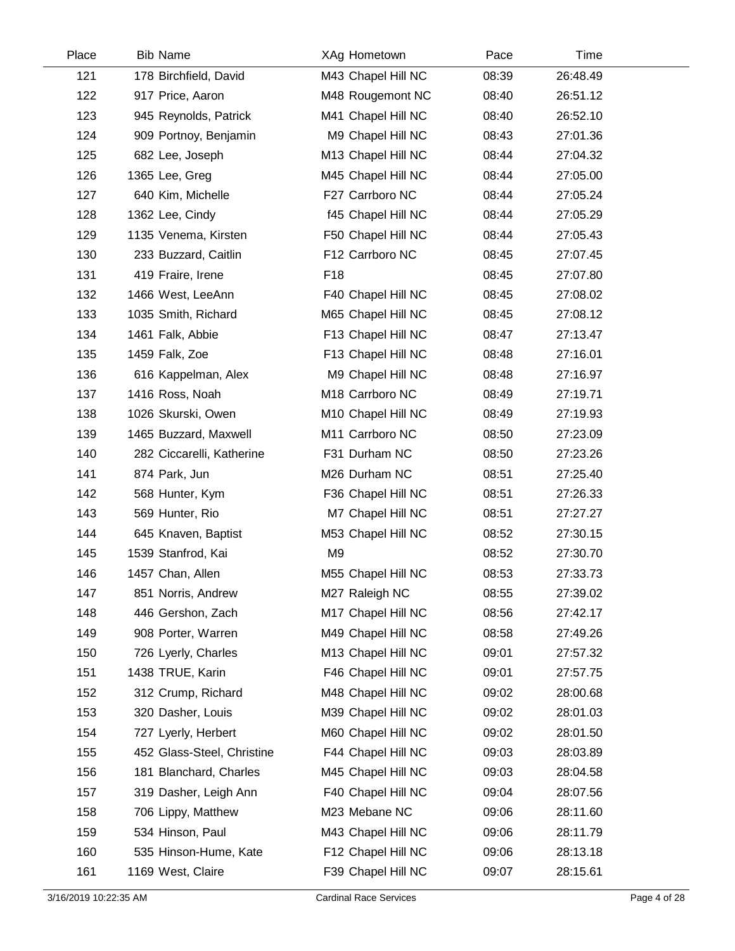| Place | <b>Bib Name</b>            | XAg Hometown       | Pace  | Time     |  |
|-------|----------------------------|--------------------|-------|----------|--|
| 121   | 178 Birchfield, David      | M43 Chapel Hill NC | 08:39 | 26:48.49 |  |
| 122   | 917 Price, Aaron           | M48 Rougemont NC   | 08:40 | 26:51.12 |  |
| 123   | 945 Reynolds, Patrick      | M41 Chapel Hill NC | 08:40 | 26:52.10 |  |
| 124   | 909 Portnoy, Benjamin      | M9 Chapel Hill NC  | 08:43 | 27:01.36 |  |
| 125   | 682 Lee, Joseph            | M13 Chapel Hill NC | 08:44 | 27:04.32 |  |
| 126   | 1365 Lee, Greg             | M45 Chapel Hill NC | 08:44 | 27:05.00 |  |
| 127   | 640 Kim, Michelle          | F27 Carrboro NC    | 08:44 | 27:05.24 |  |
| 128   | 1362 Lee, Cindy            | f45 Chapel Hill NC | 08:44 | 27:05.29 |  |
| 129   | 1135 Venema, Kirsten       | F50 Chapel Hill NC | 08:44 | 27:05.43 |  |
| 130   | 233 Buzzard, Caitlin       | F12 Carrboro NC    | 08:45 | 27:07.45 |  |
| 131   | 419 Fraire, Irene          | F <sub>18</sub>    | 08:45 | 27:07.80 |  |
| 132   | 1466 West, LeeAnn          | F40 Chapel Hill NC | 08:45 | 27:08.02 |  |
| 133   | 1035 Smith, Richard        | M65 Chapel Hill NC | 08:45 | 27:08.12 |  |
| 134   | 1461 Falk, Abbie           | F13 Chapel Hill NC | 08:47 | 27:13.47 |  |
| 135   | 1459 Falk, Zoe             | F13 Chapel Hill NC | 08:48 | 27:16.01 |  |
| 136   | 616 Kappelman, Alex        | M9 Chapel Hill NC  | 08:48 | 27:16.97 |  |
| 137   | 1416 Ross, Noah            | M18 Carrboro NC    | 08:49 | 27:19.71 |  |
| 138   | 1026 Skurski, Owen         | M10 Chapel Hill NC | 08:49 | 27:19.93 |  |
| 139   | 1465 Buzzard, Maxwell      | M11 Carrboro NC    | 08:50 | 27:23.09 |  |
| 140   | 282 Ciccarelli, Katherine  | F31 Durham NC      | 08:50 | 27:23.26 |  |
| 141   | 874 Park, Jun              | M26 Durham NC      | 08:51 | 27:25.40 |  |
| 142   | 568 Hunter, Kym            | F36 Chapel Hill NC | 08:51 | 27:26.33 |  |
| 143   | 569 Hunter, Rio            | M7 Chapel Hill NC  | 08:51 | 27:27.27 |  |
| 144   | 645 Knaven, Baptist        | M53 Chapel Hill NC | 08:52 | 27:30.15 |  |
| 145   | 1539 Stanfrod, Kai         | M <sub>9</sub>     | 08:52 | 27:30.70 |  |
| 146   | 1457 Chan, Allen           | M55 Chapel Hill NC | 08:53 | 27:33.73 |  |
| 147   | 851 Norris, Andrew         | M27 Raleigh NC     | 08:55 | 27:39.02 |  |
| 148   | 446 Gershon, Zach          | M17 Chapel Hill NC | 08:56 | 27:42.17 |  |
| 149   | 908 Porter, Warren         | M49 Chapel Hill NC | 08:58 | 27:49.26 |  |
| 150   | 726 Lyerly, Charles        | M13 Chapel Hill NC | 09:01 | 27:57.32 |  |
| 151   | 1438 TRUE, Karin           | F46 Chapel Hill NC | 09:01 | 27:57.75 |  |
| 152   | 312 Crump, Richard         | M48 Chapel Hill NC | 09:02 | 28:00.68 |  |
| 153   | 320 Dasher, Louis          | M39 Chapel Hill NC | 09:02 | 28:01.03 |  |
| 154   | 727 Lyerly, Herbert        | M60 Chapel Hill NC | 09:02 | 28:01.50 |  |
| 155   | 452 Glass-Steel, Christine | F44 Chapel Hill NC | 09:03 | 28:03.89 |  |
| 156   | 181 Blanchard, Charles     | M45 Chapel Hill NC | 09:03 | 28:04.58 |  |
| 157   | 319 Dasher, Leigh Ann      | F40 Chapel Hill NC | 09:04 | 28:07.56 |  |
| 158   | 706 Lippy, Matthew         | M23 Mebane NC      | 09:06 | 28:11.60 |  |
| 159   | 534 Hinson, Paul           | M43 Chapel Hill NC | 09:06 | 28:11.79 |  |
| 160   | 535 Hinson-Hume, Kate      | F12 Chapel Hill NC | 09:06 | 28:13.18 |  |
| 161   | 1169 West, Claire          | F39 Chapel Hill NC | 09:07 | 28:15.61 |  |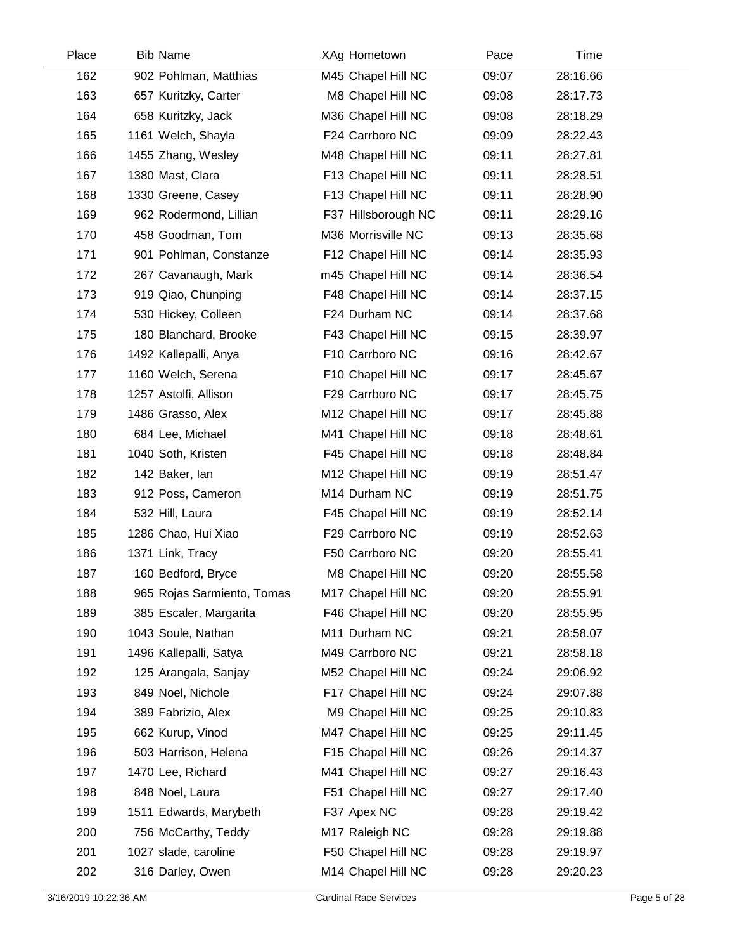| Place | <b>Bib Name</b>            | XAg Hometown        | Pace  | Time     |  |
|-------|----------------------------|---------------------|-------|----------|--|
| 162   | 902 Pohlman, Matthias      | M45 Chapel Hill NC  | 09:07 | 28:16.66 |  |
| 163   | 657 Kuritzky, Carter       | M8 Chapel Hill NC   | 09:08 | 28:17.73 |  |
| 164   | 658 Kuritzky, Jack         | M36 Chapel Hill NC  | 09:08 | 28:18.29 |  |
| 165   | 1161 Welch, Shayla         | F24 Carrboro NC     | 09:09 | 28:22.43 |  |
| 166   | 1455 Zhang, Wesley         | M48 Chapel Hill NC  | 09:11 | 28:27.81 |  |
| 167   | 1380 Mast, Clara           | F13 Chapel Hill NC  | 09:11 | 28:28.51 |  |
| 168   | 1330 Greene, Casey         | F13 Chapel Hill NC  | 09:11 | 28:28.90 |  |
| 169   | 962 Rodermond, Lillian     | F37 Hillsborough NC | 09:11 | 28:29.16 |  |
| 170   | 458 Goodman, Tom           | M36 Morrisville NC  | 09:13 | 28:35.68 |  |
| 171   | 901 Pohlman, Constanze     | F12 Chapel Hill NC  | 09:14 | 28:35.93 |  |
| 172   | 267 Cavanaugh, Mark        | m45 Chapel Hill NC  | 09:14 | 28:36.54 |  |
| 173   | 919 Qiao, Chunping         | F48 Chapel Hill NC  | 09:14 | 28:37.15 |  |
| 174   | 530 Hickey, Colleen        | F24 Durham NC       | 09:14 | 28:37.68 |  |
| 175   | 180 Blanchard, Brooke      | F43 Chapel Hill NC  | 09:15 | 28:39.97 |  |
| 176   | 1492 Kallepalli, Anya      | F10 Carrboro NC     | 09:16 | 28:42.67 |  |
| 177   | 1160 Welch, Serena         | F10 Chapel Hill NC  | 09:17 | 28:45.67 |  |
| 178   | 1257 Astolfi, Allison      | F29 Carrboro NC     | 09:17 | 28:45.75 |  |
| 179   | 1486 Grasso, Alex          | M12 Chapel Hill NC  | 09:17 | 28:45.88 |  |
| 180   | 684 Lee, Michael           | M41 Chapel Hill NC  | 09:18 | 28:48.61 |  |
| 181   | 1040 Soth, Kristen         | F45 Chapel Hill NC  | 09:18 | 28:48.84 |  |
| 182   | 142 Baker, lan             | M12 Chapel Hill NC  | 09:19 | 28:51.47 |  |
| 183   | 912 Poss, Cameron          | M14 Durham NC       | 09:19 | 28:51.75 |  |
| 184   | 532 Hill, Laura            | F45 Chapel Hill NC  | 09:19 | 28:52.14 |  |
| 185   | 1286 Chao, Hui Xiao        | F29 Carrboro NC     | 09:19 | 28:52.63 |  |
| 186   | 1371 Link, Tracy           | F50 Carrboro NC     | 09:20 | 28:55.41 |  |
| 187   | 160 Bedford, Bryce         | M8 Chapel Hill NC   | 09:20 | 28:55.58 |  |
| 188   | 965 Rojas Sarmiento, Tomas | M17 Chapel Hill NC  | 09:20 | 28:55.91 |  |
| 189   | 385 Escaler, Margarita     | F46 Chapel Hill NC  | 09:20 | 28:55.95 |  |
| 190   | 1043 Soule, Nathan         | M11 Durham NC       | 09:21 | 28:58.07 |  |
| 191   | 1496 Kallepalli, Satya     | M49 Carrboro NC     | 09:21 | 28:58.18 |  |
| 192   | 125 Arangala, Sanjay       | M52 Chapel Hill NC  | 09:24 | 29:06.92 |  |
| 193   | 849 Noel, Nichole          | F17 Chapel Hill NC  | 09:24 | 29:07.88 |  |
| 194   | 389 Fabrizio, Alex         | M9 Chapel Hill NC   | 09:25 | 29:10.83 |  |
| 195   | 662 Kurup, Vinod           | M47 Chapel Hill NC  | 09:25 | 29:11.45 |  |
| 196   | 503 Harrison, Helena       | F15 Chapel Hill NC  | 09:26 | 29:14.37 |  |
| 197   | 1470 Lee, Richard          | M41 Chapel Hill NC  | 09:27 | 29:16.43 |  |
| 198   | 848 Noel, Laura            | F51 Chapel Hill NC  | 09:27 | 29:17.40 |  |
| 199   | 1511 Edwards, Marybeth     | F37 Apex NC         | 09:28 | 29:19.42 |  |
| 200   | 756 McCarthy, Teddy        | M17 Raleigh NC      | 09:28 | 29:19.88 |  |
| 201   | 1027 slade, caroline       | F50 Chapel Hill NC  | 09:28 | 29:19.97 |  |
| 202   | 316 Darley, Owen           | M14 Chapel Hill NC  | 09:28 | 29:20.23 |  |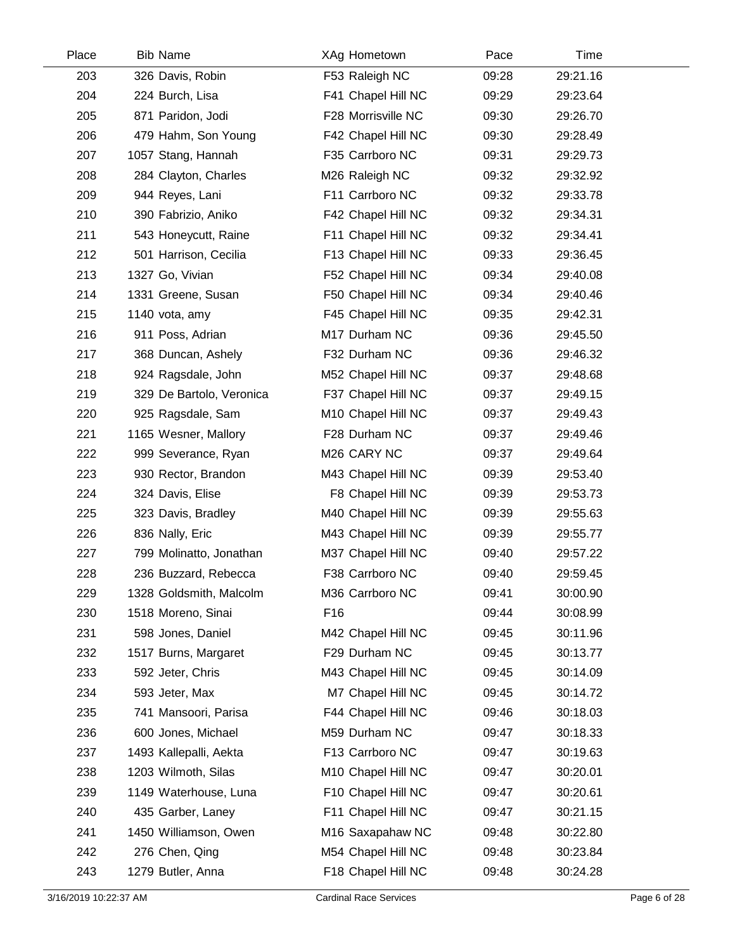| Place | <b>Bib Name</b>          |     | XAg Hometown       | Pace  | Time     |  |
|-------|--------------------------|-----|--------------------|-------|----------|--|
| 203   | 326 Davis, Robin         |     | F53 Raleigh NC     | 09:28 | 29:21.16 |  |
| 204   | 224 Burch, Lisa          |     | F41 Chapel Hill NC | 09:29 | 29:23.64 |  |
| 205   | 871 Paridon, Jodi        |     | F28 Morrisville NC | 09:30 | 29:26.70 |  |
| 206   | 479 Hahm, Son Young      |     | F42 Chapel Hill NC | 09:30 | 29:28.49 |  |
| 207   | 1057 Stang, Hannah       |     | F35 Carrboro NC    | 09:31 | 29:29.73 |  |
| 208   | 284 Clayton, Charles     |     | M26 Raleigh NC     | 09:32 | 29:32.92 |  |
| 209   | 944 Reyes, Lani          |     | F11 Carrboro NC    | 09:32 | 29:33.78 |  |
| 210   | 390 Fabrizio, Aniko      |     | F42 Chapel Hill NC | 09:32 | 29:34.31 |  |
| 211   | 543 Honeycutt, Raine     |     | F11 Chapel Hill NC | 09:32 | 29:34.41 |  |
| 212   | 501 Harrison, Cecilia    |     | F13 Chapel Hill NC | 09:33 | 29:36.45 |  |
| 213   | 1327 Go, Vivian          |     | F52 Chapel Hill NC | 09:34 | 29:40.08 |  |
| 214   | 1331 Greene, Susan       |     | F50 Chapel Hill NC | 09:34 | 29:40.46 |  |
| 215   | 1140 vota, amy           |     | F45 Chapel Hill NC | 09:35 | 29:42.31 |  |
| 216   | 911 Poss, Adrian         |     | M17 Durham NC      | 09:36 | 29:45.50 |  |
| 217   | 368 Duncan, Ashely       |     | F32 Durham NC      | 09:36 | 29:46.32 |  |
| 218   | 924 Ragsdale, John       |     | M52 Chapel Hill NC | 09:37 | 29:48.68 |  |
| 219   | 329 De Bartolo, Veronica |     | F37 Chapel Hill NC | 09:37 | 29:49.15 |  |
| 220   | 925 Ragsdale, Sam        |     | M10 Chapel Hill NC | 09:37 | 29:49.43 |  |
| 221   | 1165 Wesner, Mallory     |     | F28 Durham NC      | 09:37 | 29:49.46 |  |
| 222   | 999 Severance, Ryan      |     | M26 CARY NC        | 09:37 | 29:49.64 |  |
| 223   | 930 Rector, Brandon      |     | M43 Chapel Hill NC | 09:39 | 29:53.40 |  |
| 224   | 324 Davis, Elise         |     | F8 Chapel Hill NC  | 09:39 | 29:53.73 |  |
| 225   | 323 Davis, Bradley       |     | M40 Chapel Hill NC | 09:39 | 29:55.63 |  |
| 226   | 836 Nally, Eric          |     | M43 Chapel Hill NC | 09:39 | 29:55.77 |  |
| 227   | 799 Molinatto, Jonathan  |     | M37 Chapel Hill NC | 09:40 | 29:57.22 |  |
| 228   | 236 Buzzard, Rebecca     |     | F38 Carrboro NC    | 09:40 | 29:59.45 |  |
| 229   | 1328 Goldsmith, Malcolm  |     | M36 Carrboro NC    | 09:41 | 30:00.90 |  |
| 230   | 1518 Moreno, Sinai       | F16 |                    | 09:44 | 30:08.99 |  |
| 231   | 598 Jones, Daniel        |     | M42 Chapel Hill NC | 09:45 | 30:11.96 |  |
| 232   | 1517 Burns, Margaret     |     | F29 Durham NC      | 09:45 | 30:13.77 |  |
| 233   | 592 Jeter, Chris         |     | M43 Chapel Hill NC | 09:45 | 30:14.09 |  |
| 234   | 593 Jeter, Max           |     | M7 Chapel Hill NC  | 09:45 | 30:14.72 |  |
| 235   | 741 Mansoori, Parisa     |     | F44 Chapel Hill NC | 09:46 | 30:18.03 |  |
| 236   | 600 Jones, Michael       |     | M59 Durham NC      | 09:47 | 30:18.33 |  |
| 237   | 1493 Kallepalli, Aekta   |     | F13 Carrboro NC    | 09:47 | 30:19.63 |  |
| 238   | 1203 Wilmoth, Silas      |     | M10 Chapel Hill NC | 09:47 | 30:20.01 |  |
| 239   | 1149 Waterhouse, Luna    |     | F10 Chapel Hill NC | 09:47 | 30:20.61 |  |
| 240   | 435 Garber, Laney        |     | F11 Chapel Hill NC | 09:47 | 30:21.15 |  |
| 241   | 1450 Williamson, Owen    |     | M16 Saxapahaw NC   | 09:48 | 30:22.80 |  |
| 242   | 276 Chen, Qing           |     | M54 Chapel Hill NC | 09:48 | 30:23.84 |  |
| 243   | 1279 Butler, Anna        |     | F18 Chapel Hill NC | 09:48 | 30:24.28 |  |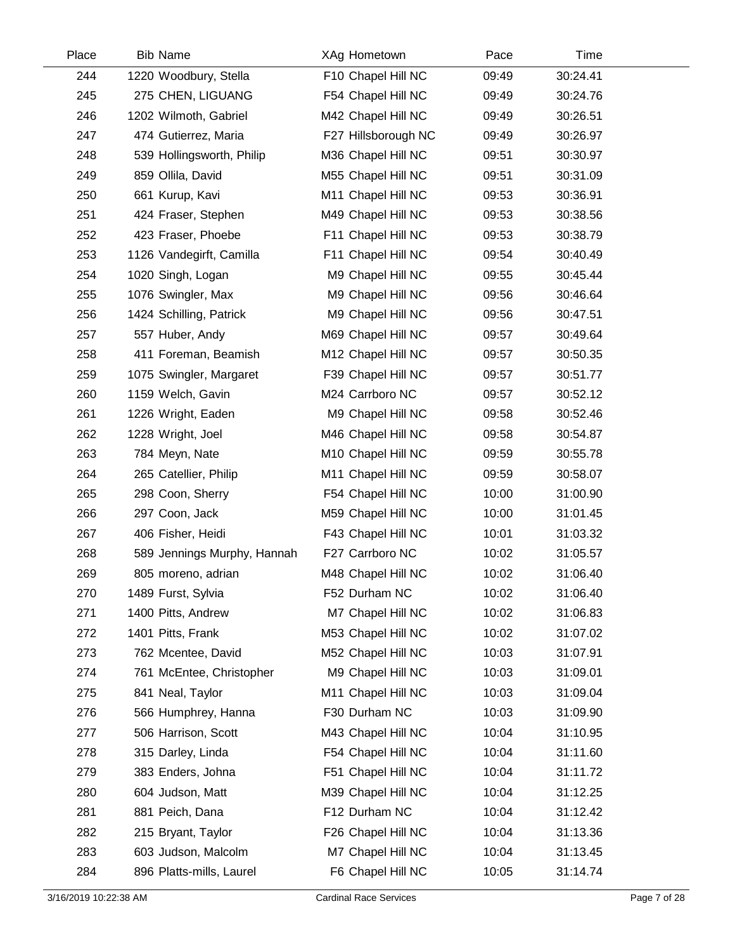| Place | <b>Bib Name</b>             | XAg Hometown        | Pace  | Time     |  |
|-------|-----------------------------|---------------------|-------|----------|--|
| 244   | 1220 Woodbury, Stella       | F10 Chapel Hill NC  | 09:49 | 30:24.41 |  |
| 245   | 275 CHEN, LIGUANG           | F54 Chapel Hill NC  | 09:49 | 30:24.76 |  |
| 246   | 1202 Wilmoth, Gabriel       | M42 Chapel Hill NC  | 09:49 | 30:26.51 |  |
| 247   | 474 Gutierrez, Maria        | F27 Hillsborough NC | 09:49 | 30:26.97 |  |
| 248   | 539 Hollingsworth, Philip   | M36 Chapel Hill NC  | 09:51 | 30:30.97 |  |
| 249   | 859 Ollila, David           | M55 Chapel Hill NC  | 09:51 | 30:31.09 |  |
| 250   | 661 Kurup, Kavi             | M11 Chapel Hill NC  | 09:53 | 30:36.91 |  |
| 251   | 424 Fraser, Stephen         | M49 Chapel Hill NC  | 09:53 | 30:38.56 |  |
| 252   | 423 Fraser, Phoebe          | F11 Chapel Hill NC  | 09:53 | 30:38.79 |  |
| 253   | 1126 Vandegirft, Camilla    | F11 Chapel Hill NC  | 09:54 | 30:40.49 |  |
| 254   | 1020 Singh, Logan           | M9 Chapel Hill NC   | 09:55 | 30:45.44 |  |
| 255   | 1076 Swingler, Max          | M9 Chapel Hill NC   | 09:56 | 30:46.64 |  |
| 256   | 1424 Schilling, Patrick     | M9 Chapel Hill NC   | 09:56 | 30:47.51 |  |
| 257   | 557 Huber, Andy             | M69 Chapel Hill NC  | 09:57 | 30:49.64 |  |
| 258   | 411 Foreman, Beamish        | M12 Chapel Hill NC  | 09:57 | 30:50.35 |  |
| 259   | 1075 Swingler, Margaret     | F39 Chapel Hill NC  | 09:57 | 30:51.77 |  |
| 260   | 1159 Welch, Gavin           | M24 Carrboro NC     | 09:57 | 30:52.12 |  |
| 261   | 1226 Wright, Eaden          | M9 Chapel Hill NC   | 09:58 | 30:52.46 |  |
| 262   | 1228 Wright, Joel           | M46 Chapel Hill NC  | 09:58 | 30:54.87 |  |
| 263   | 784 Meyn, Nate              | M10 Chapel Hill NC  | 09:59 | 30:55.78 |  |
| 264   | 265 Catellier, Philip       | M11 Chapel Hill NC  | 09:59 | 30:58.07 |  |
| 265   | 298 Coon, Sherry            | F54 Chapel Hill NC  | 10:00 | 31:00.90 |  |
| 266   | 297 Coon, Jack              | M59 Chapel Hill NC  | 10:00 | 31:01.45 |  |
| 267   | 406 Fisher, Heidi           | F43 Chapel Hill NC  | 10:01 | 31:03.32 |  |
| 268   | 589 Jennings Murphy, Hannah | F27 Carrboro NC     | 10:02 | 31:05.57 |  |
| 269   | 805 moreno, adrian          | M48 Chapel Hill NC  | 10:02 | 31:06.40 |  |
| 270   | 1489 Furst, Sylvia          | F52 Durham NC       | 10:02 | 31:06.40 |  |
| 271   | 1400 Pitts, Andrew          | M7 Chapel Hill NC   | 10:02 | 31:06.83 |  |
| 272   | 1401 Pitts, Frank           | M53 Chapel Hill NC  | 10:02 | 31:07.02 |  |
| 273   | 762 Mcentee, David          | M52 Chapel Hill NC  | 10:03 | 31:07.91 |  |
| 274   | 761 McEntee, Christopher    | M9 Chapel Hill NC   | 10:03 | 31:09.01 |  |
| 275   | 841 Neal, Taylor            | M11 Chapel Hill NC  | 10:03 | 31:09.04 |  |
| 276   | 566 Humphrey, Hanna         | F30 Durham NC       | 10:03 | 31:09.90 |  |
| 277   | 506 Harrison, Scott         | M43 Chapel Hill NC  | 10:04 | 31:10.95 |  |
| 278   | 315 Darley, Linda           | F54 Chapel Hill NC  | 10:04 | 31:11.60 |  |
| 279   | 383 Enders, Johna           | F51 Chapel Hill NC  | 10:04 | 31:11.72 |  |
| 280   | 604 Judson, Matt            | M39 Chapel Hill NC  | 10:04 | 31:12.25 |  |
| 281   | 881 Peich, Dana             | F12 Durham NC       | 10:04 | 31:12.42 |  |
| 282   | 215 Bryant, Taylor          | F26 Chapel Hill NC  | 10:04 | 31:13.36 |  |
| 283   | 603 Judson, Malcolm         | M7 Chapel Hill NC   | 10:04 | 31:13.45 |  |
| 284   | 896 Platts-mills, Laurel    | F6 Chapel Hill NC   | 10:05 | 31:14.74 |  |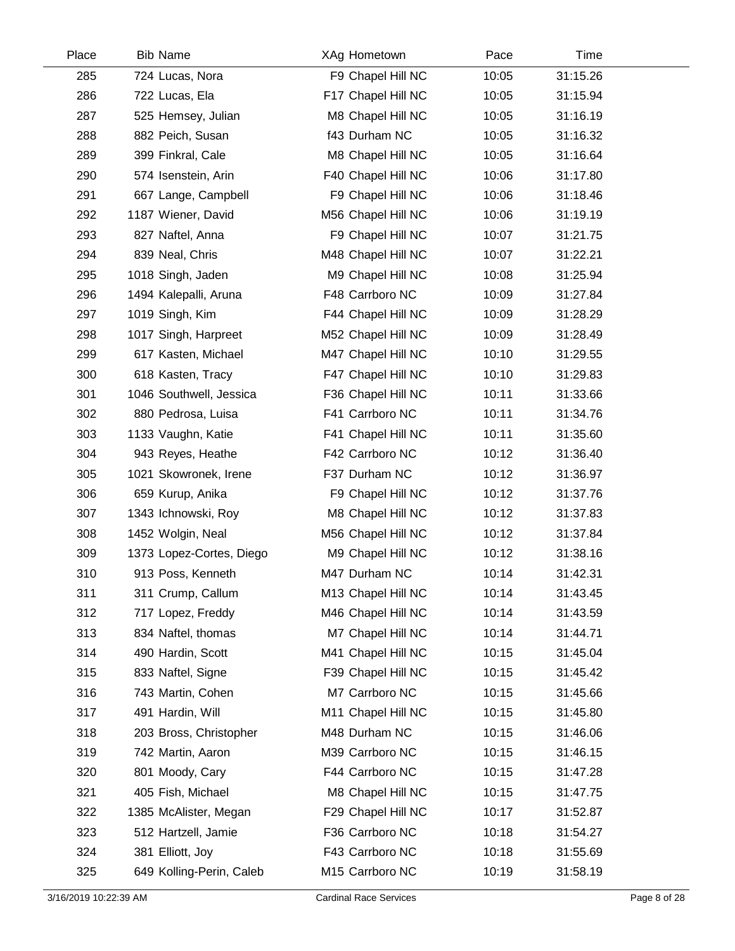| Place | <b>Bib Name</b>          | XAg Hometown       | Pace  | Time     |  |
|-------|--------------------------|--------------------|-------|----------|--|
| 285   | 724 Lucas, Nora          | F9 Chapel Hill NC  | 10:05 | 31:15.26 |  |
| 286   | 722 Lucas, Ela           | F17 Chapel Hill NC | 10:05 | 31:15.94 |  |
| 287   | 525 Hemsey, Julian       | M8 Chapel Hill NC  | 10:05 | 31:16.19 |  |
| 288   | 882 Peich, Susan         | f43 Durham NC      | 10:05 | 31:16.32 |  |
| 289   | 399 Finkral, Cale        | M8 Chapel Hill NC  | 10:05 | 31:16.64 |  |
| 290   | 574 Isenstein, Arin      | F40 Chapel Hill NC | 10:06 | 31:17.80 |  |
| 291   | 667 Lange, Campbell      | F9 Chapel Hill NC  | 10:06 | 31:18.46 |  |
| 292   | 1187 Wiener, David       | M56 Chapel Hill NC | 10:06 | 31:19.19 |  |
| 293   | 827 Naftel, Anna         | F9 Chapel Hill NC  | 10:07 | 31:21.75 |  |
| 294   | 839 Neal, Chris          | M48 Chapel Hill NC | 10:07 | 31:22.21 |  |
| 295   | 1018 Singh, Jaden        | M9 Chapel Hill NC  | 10:08 | 31:25.94 |  |
| 296   | 1494 Kalepalli, Aruna    | F48 Carrboro NC    | 10:09 | 31:27.84 |  |
| 297   | 1019 Singh, Kim          | F44 Chapel Hill NC | 10:09 | 31:28.29 |  |
| 298   | 1017 Singh, Harpreet     | M52 Chapel Hill NC | 10:09 | 31:28.49 |  |
| 299   | 617 Kasten, Michael      | M47 Chapel Hill NC | 10:10 | 31:29.55 |  |
| 300   | 618 Kasten, Tracy        | F47 Chapel Hill NC | 10:10 | 31:29.83 |  |
| 301   | 1046 Southwell, Jessica  | F36 Chapel Hill NC | 10:11 | 31:33.66 |  |
| 302   | 880 Pedrosa, Luisa       | F41 Carrboro NC    | 10:11 | 31:34.76 |  |
| 303   | 1133 Vaughn, Katie       | F41 Chapel Hill NC | 10:11 | 31:35.60 |  |
| 304   | 943 Reyes, Heathe        | F42 Carrboro NC    | 10:12 | 31:36.40 |  |
| 305   | 1021 Skowronek, Irene    | F37 Durham NC      | 10:12 | 31:36.97 |  |
| 306   | 659 Kurup, Anika         | F9 Chapel Hill NC  | 10:12 | 31:37.76 |  |
| 307   | 1343 Ichnowski, Roy      | M8 Chapel Hill NC  | 10:12 | 31:37.83 |  |
| 308   | 1452 Wolgin, Neal        | M56 Chapel Hill NC | 10:12 | 31:37.84 |  |
| 309   | 1373 Lopez-Cortes, Diego | M9 Chapel Hill NC  | 10:12 | 31:38.16 |  |
| 310   | 913 Poss, Kenneth        | M47 Durham NC      | 10:14 | 31:42.31 |  |
| 311   | 311 Crump, Callum        | M13 Chapel Hill NC | 10:14 | 31:43.45 |  |
| 312   | 717 Lopez, Freddy        | M46 Chapel Hill NC | 10:14 | 31:43.59 |  |
| 313   | 834 Naftel, thomas       | M7 Chapel Hill NC  | 10:14 | 31:44.71 |  |
| 314   | 490 Hardin, Scott        | M41 Chapel Hill NC | 10:15 | 31:45.04 |  |
| 315   | 833 Naftel, Signe        | F39 Chapel Hill NC | 10:15 | 31:45.42 |  |
| 316   | 743 Martin, Cohen        | M7 Carrboro NC     | 10:15 | 31:45.66 |  |
| 317   | 491 Hardin, Will         | M11 Chapel Hill NC | 10:15 | 31:45.80 |  |
| 318   | 203 Bross, Christopher   | M48 Durham NC      | 10:15 | 31:46.06 |  |
| 319   | 742 Martin, Aaron        | M39 Carrboro NC    | 10:15 | 31:46.15 |  |
| 320   | 801 Moody, Cary          | F44 Carrboro NC    | 10:15 | 31:47.28 |  |
| 321   | 405 Fish, Michael        | M8 Chapel Hill NC  | 10:15 | 31:47.75 |  |
| 322   | 1385 McAlister, Megan    | F29 Chapel Hill NC | 10:17 | 31:52.87 |  |
| 323   | 512 Hartzell, Jamie      | F36 Carrboro NC    | 10:18 | 31:54.27 |  |
| 324   | 381 Elliott, Joy         | F43 Carrboro NC    | 10:18 | 31:55.69 |  |
| 325   | 649 Kolling-Perin, Caleb | M15 Carrboro NC    | 10:19 | 31:58.19 |  |
|       |                          |                    |       |          |  |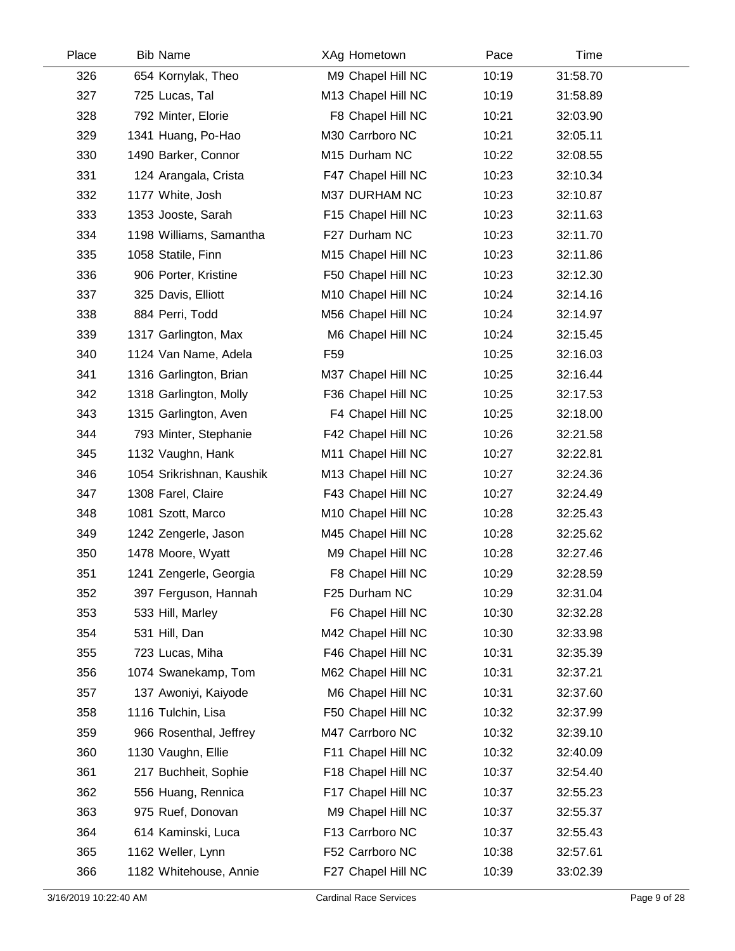| Place | <b>Bib Name</b>           | XAg Hometown       | Pace  | Time     |  |
|-------|---------------------------|--------------------|-------|----------|--|
| 326   | 654 Kornylak, Theo        | M9 Chapel Hill NC  | 10:19 | 31:58.70 |  |
| 327   | 725 Lucas, Tal            | M13 Chapel Hill NC | 10:19 | 31:58.89 |  |
| 328   | 792 Minter, Elorie        | F8 Chapel Hill NC  | 10:21 | 32:03.90 |  |
| 329   | 1341 Huang, Po-Hao        | M30 Carrboro NC    | 10:21 | 32:05.11 |  |
| 330   | 1490 Barker, Connor       | M15 Durham NC      | 10:22 | 32:08.55 |  |
| 331   | 124 Arangala, Crista      | F47 Chapel Hill NC | 10:23 | 32:10.34 |  |
| 332   | 1177 White, Josh          | M37 DURHAM NC      | 10:23 | 32:10.87 |  |
| 333   | 1353 Jooste, Sarah        | F15 Chapel Hill NC | 10:23 | 32:11.63 |  |
| 334   | 1198 Williams, Samantha   | F27 Durham NC      | 10:23 | 32:11.70 |  |
| 335   | 1058 Statile, Finn        | M15 Chapel Hill NC | 10:23 | 32:11.86 |  |
| 336   | 906 Porter, Kristine      | F50 Chapel Hill NC | 10:23 | 32:12.30 |  |
| 337   | 325 Davis, Elliott        | M10 Chapel Hill NC | 10:24 | 32:14.16 |  |
| 338   | 884 Perri, Todd           | M56 Chapel Hill NC | 10:24 | 32:14.97 |  |
| 339   | 1317 Garlington, Max      | M6 Chapel Hill NC  | 10:24 | 32:15.45 |  |
| 340   | 1124 Van Name, Adela      | F <sub>59</sub>    | 10:25 | 32:16.03 |  |
| 341   | 1316 Garlington, Brian    | M37 Chapel Hill NC | 10:25 | 32:16.44 |  |
| 342   | 1318 Garlington, Molly    | F36 Chapel Hill NC | 10:25 | 32:17.53 |  |
| 343   | 1315 Garlington, Aven     | F4 Chapel Hill NC  | 10:25 | 32:18.00 |  |
| 344   | 793 Minter, Stephanie     | F42 Chapel Hill NC | 10:26 | 32:21.58 |  |
| 345   | 1132 Vaughn, Hank         | M11 Chapel Hill NC | 10:27 | 32:22.81 |  |
| 346   | 1054 Srikrishnan, Kaushik | M13 Chapel Hill NC | 10:27 | 32:24.36 |  |
| 347   | 1308 Farel, Claire        | F43 Chapel Hill NC | 10:27 | 32:24.49 |  |
| 348   | 1081 Szott, Marco         | M10 Chapel Hill NC | 10:28 | 32:25.43 |  |
| 349   | 1242 Zengerle, Jason      | M45 Chapel Hill NC | 10:28 | 32:25.62 |  |
| 350   | 1478 Moore, Wyatt         | M9 Chapel Hill NC  | 10:28 | 32:27.46 |  |
| 351   | 1241 Zengerle, Georgia    | F8 Chapel Hill NC  | 10:29 | 32:28.59 |  |
| 352   | 397 Ferguson, Hannah      | F25 Durham NC      | 10:29 | 32:31.04 |  |
| 353   | 533 Hill, Marley          | F6 Chapel Hill NC  | 10:30 | 32:32.28 |  |
| 354   | 531 Hill, Dan             | M42 Chapel Hill NC | 10:30 | 32:33.98 |  |
| 355   | 723 Lucas, Miha           | F46 Chapel Hill NC | 10:31 | 32:35.39 |  |
| 356   | 1074 Swanekamp, Tom       | M62 Chapel Hill NC | 10:31 | 32:37.21 |  |
| 357   | 137 Awoniyi, Kaiyode      | M6 Chapel Hill NC  | 10:31 | 32:37.60 |  |
| 358   | 1116 Tulchin, Lisa        | F50 Chapel Hill NC | 10:32 | 32:37.99 |  |
| 359   | 966 Rosenthal, Jeffrey    | M47 Carrboro NC    | 10:32 | 32:39.10 |  |
| 360   | 1130 Vaughn, Ellie        | F11 Chapel Hill NC | 10:32 | 32:40.09 |  |
| 361   | 217 Buchheit, Sophie      | F18 Chapel Hill NC | 10:37 | 32:54.40 |  |
| 362   | 556 Huang, Rennica        | F17 Chapel Hill NC | 10:37 | 32:55.23 |  |
| 363   | 975 Ruef, Donovan         | M9 Chapel Hill NC  | 10:37 | 32:55.37 |  |
| 364   | 614 Kaminski, Luca        | F13 Carrboro NC    | 10:37 | 32:55.43 |  |
| 365   | 1162 Weller, Lynn         | F52 Carrboro NC    | 10:38 | 32:57.61 |  |
| 366   | 1182 Whitehouse, Annie    | F27 Chapel Hill NC | 10:39 | 33:02.39 |  |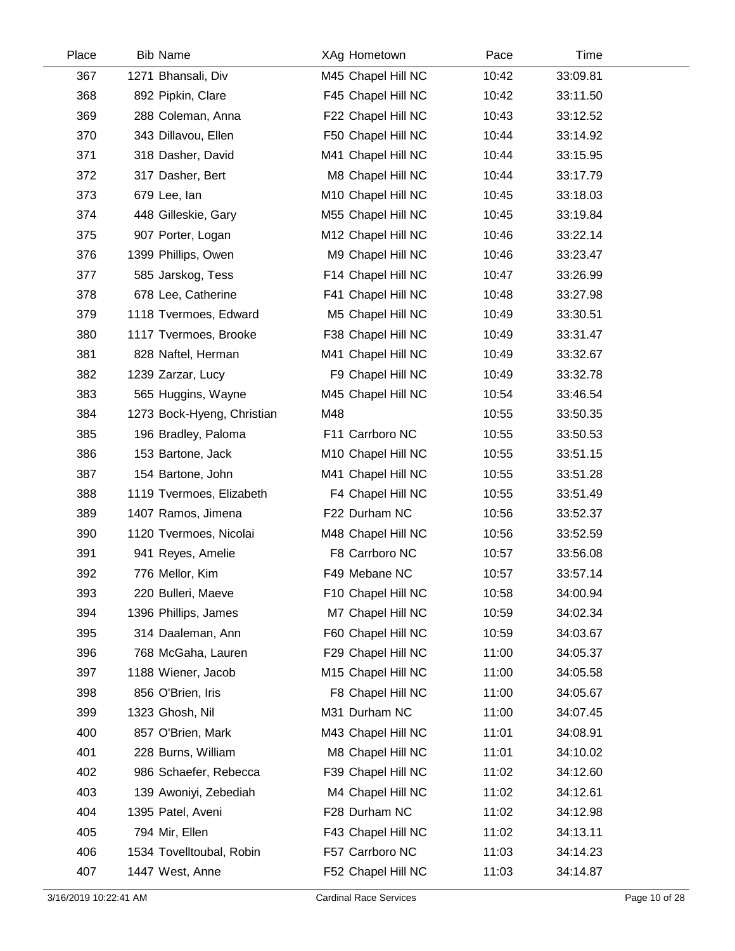| Place | <b>Bib Name</b>            | XAg Hometown       | Pace  | Time     |  |
|-------|----------------------------|--------------------|-------|----------|--|
| 367   | 1271 Bhansali, Div         | M45 Chapel Hill NC | 10:42 | 33:09.81 |  |
| 368   | 892 Pipkin, Clare          | F45 Chapel Hill NC | 10:42 | 33:11.50 |  |
| 369   | 288 Coleman, Anna          | F22 Chapel Hill NC | 10:43 | 33:12.52 |  |
| 370   | 343 Dillavou, Ellen        | F50 Chapel Hill NC | 10:44 | 33:14.92 |  |
| 371   | 318 Dasher, David          | M41 Chapel Hill NC | 10:44 | 33:15.95 |  |
| 372   | 317 Dasher, Bert           | M8 Chapel Hill NC  | 10:44 | 33:17.79 |  |
| 373   | 679 Lee, lan               | M10 Chapel Hill NC | 10:45 | 33:18.03 |  |
| 374   | 448 Gilleskie, Gary        | M55 Chapel Hill NC | 10:45 | 33:19.84 |  |
| 375   | 907 Porter, Logan          | M12 Chapel Hill NC | 10:46 | 33:22.14 |  |
| 376   | 1399 Phillips, Owen        | M9 Chapel Hill NC  | 10:46 | 33:23.47 |  |
| 377   | 585 Jarskog, Tess          | F14 Chapel Hill NC | 10:47 | 33:26.99 |  |
| 378   | 678 Lee, Catherine         | F41 Chapel Hill NC | 10:48 | 33:27.98 |  |
| 379   | 1118 Tvermoes, Edward      | M5 Chapel Hill NC  | 10:49 | 33:30.51 |  |
| 380   | 1117 Tvermoes, Brooke      | F38 Chapel Hill NC | 10:49 | 33:31.47 |  |
| 381   | 828 Naftel, Herman         | M41 Chapel Hill NC | 10:49 | 33:32.67 |  |
| 382   | 1239 Zarzar, Lucy          | F9 Chapel Hill NC  | 10:49 | 33:32.78 |  |
| 383   | 565 Huggins, Wayne         | M45 Chapel Hill NC | 10:54 | 33:46.54 |  |
| 384   | 1273 Bock-Hyeng, Christian | M48                | 10:55 | 33:50.35 |  |
| 385   | 196 Bradley, Paloma        | F11 Carrboro NC    | 10:55 | 33:50.53 |  |
| 386   | 153 Bartone, Jack          | M10 Chapel Hill NC | 10:55 | 33:51.15 |  |
| 387   | 154 Bartone, John          | M41 Chapel Hill NC | 10:55 | 33:51.28 |  |
| 388   | 1119 Tvermoes, Elizabeth   | F4 Chapel Hill NC  | 10:55 | 33:51.49 |  |
| 389   | 1407 Ramos, Jimena         | F22 Durham NC      | 10:56 | 33:52.37 |  |
| 390   | 1120 Tvermoes, Nicolai     | M48 Chapel Hill NC | 10:56 | 33:52.59 |  |
| 391   | 941 Reyes, Amelie          | F8 Carrboro NC     | 10:57 | 33:56.08 |  |
| 392   | 776 Mellor, Kim            | F49 Mebane NC      | 10:57 | 33:57.14 |  |
| 393   | 220 Bulleri, Maeve         | F10 Chapel Hill NC | 10:58 | 34:00.94 |  |
| 394   | 1396 Phillips, James       | M7 Chapel Hill NC  | 10:59 | 34:02.34 |  |
| 395   | 314 Daaleman, Ann          | F60 Chapel Hill NC | 10:59 | 34:03.67 |  |
| 396   | 768 McGaha, Lauren         | F29 Chapel Hill NC | 11:00 | 34:05.37 |  |
| 397   | 1188 Wiener, Jacob         | M15 Chapel Hill NC | 11:00 | 34:05.58 |  |
| 398   | 856 O'Brien, Iris          | F8 Chapel Hill NC  | 11:00 | 34:05.67 |  |
| 399   | 1323 Ghosh, Nil            | M31 Durham NC      | 11:00 | 34:07.45 |  |
| 400   | 857 O'Brien, Mark          | M43 Chapel Hill NC | 11:01 | 34:08.91 |  |
| 401   | 228 Burns, William         | M8 Chapel Hill NC  | 11:01 | 34:10.02 |  |
| 402   | 986 Schaefer, Rebecca      | F39 Chapel Hill NC | 11:02 | 34:12.60 |  |
| 403   | 139 Awoniyi, Zebediah      | M4 Chapel Hill NC  | 11:02 | 34:12.61 |  |
| 404   | 1395 Patel, Aveni          | F28 Durham NC      | 11:02 | 34:12.98 |  |
| 405   | 794 Mir, Ellen             | F43 Chapel Hill NC | 11:02 | 34:13.11 |  |
| 406   | 1534 Tovelltoubal, Robin   | F57 Carrboro NC    | 11:03 | 34:14.23 |  |
| 407   | 1447 West, Anne            | F52 Chapel Hill NC | 11:03 | 34:14.87 |  |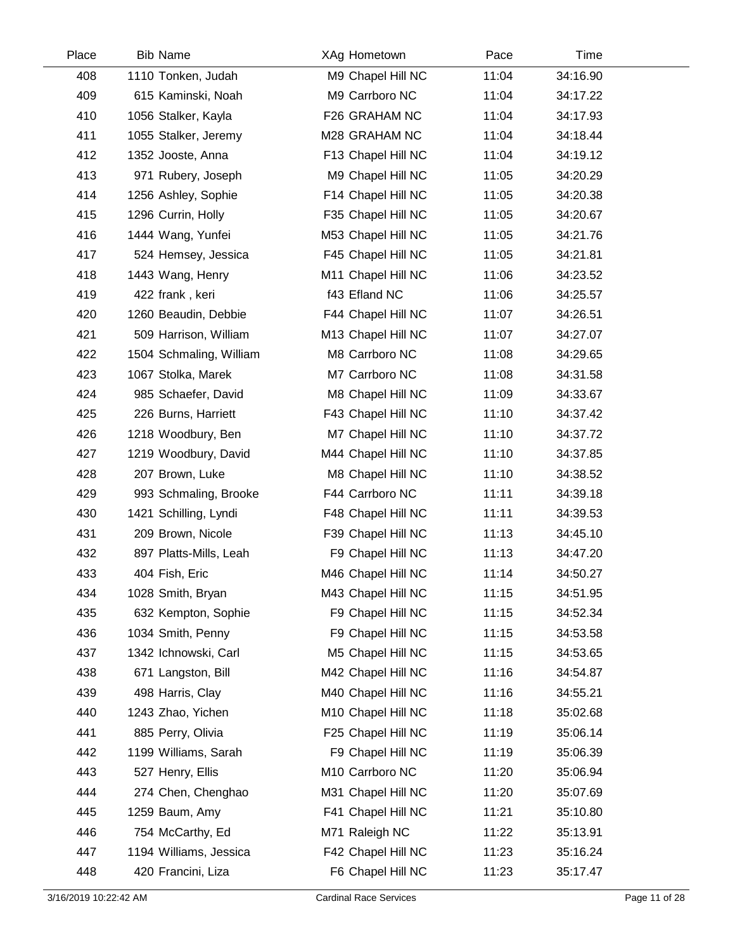| Place | <b>Bib Name</b>         | XAg Hometown       | Pace  | Time     |  |
|-------|-------------------------|--------------------|-------|----------|--|
| 408   | 1110 Tonken, Judah      | M9 Chapel Hill NC  | 11:04 | 34:16.90 |  |
| 409   | 615 Kaminski, Noah      | M9 Carrboro NC     | 11:04 | 34:17.22 |  |
| 410   | 1056 Stalker, Kayla     | F26 GRAHAM NC      | 11:04 | 34:17.93 |  |
| 411   | 1055 Stalker, Jeremy    | M28 GRAHAM NC      | 11:04 | 34:18.44 |  |
| 412   | 1352 Jooste, Anna       | F13 Chapel Hill NC | 11:04 | 34:19.12 |  |
| 413   | 971 Rubery, Joseph      | M9 Chapel Hill NC  | 11:05 | 34:20.29 |  |
| 414   | 1256 Ashley, Sophie     | F14 Chapel Hill NC | 11:05 | 34:20.38 |  |
| 415   | 1296 Currin, Holly      | F35 Chapel Hill NC | 11:05 | 34:20.67 |  |
| 416   | 1444 Wang, Yunfei       | M53 Chapel Hill NC | 11:05 | 34:21.76 |  |
| 417   | 524 Hemsey, Jessica     | F45 Chapel Hill NC | 11:05 | 34:21.81 |  |
| 418   | 1443 Wang, Henry        | M11 Chapel Hill NC | 11:06 | 34:23.52 |  |
| 419   | 422 frank, keri         | f43 Efland NC      | 11:06 | 34:25.57 |  |
| 420   | 1260 Beaudin, Debbie    | F44 Chapel Hill NC | 11:07 | 34:26.51 |  |
| 421   | 509 Harrison, William   | M13 Chapel Hill NC | 11:07 | 34:27.07 |  |
| 422   | 1504 Schmaling, William | M8 Carrboro NC     | 11:08 | 34:29.65 |  |
| 423   | 1067 Stolka, Marek      | M7 Carrboro NC     | 11:08 | 34:31.58 |  |
| 424   | 985 Schaefer, David     | M8 Chapel Hill NC  | 11:09 | 34:33.67 |  |
| 425   | 226 Burns, Harriett     | F43 Chapel Hill NC | 11:10 | 34:37.42 |  |
| 426   | 1218 Woodbury, Ben      | M7 Chapel Hill NC  | 11:10 | 34:37.72 |  |
| 427   | 1219 Woodbury, David    | M44 Chapel Hill NC | 11:10 | 34:37.85 |  |
| 428   | 207 Brown, Luke         | M8 Chapel Hill NC  | 11:10 | 34:38.52 |  |
| 429   | 993 Schmaling, Brooke   | F44 Carrboro NC    | 11:11 | 34:39.18 |  |
| 430   | 1421 Schilling, Lyndi   | F48 Chapel Hill NC | 11:11 | 34:39.53 |  |
| 431   | 209 Brown, Nicole       | F39 Chapel Hill NC | 11:13 | 34:45.10 |  |
| 432   | 897 Platts-Mills, Leah  | F9 Chapel Hill NC  | 11:13 | 34:47.20 |  |
| 433   | 404 Fish, Eric          | M46 Chapel Hill NC | 11:14 | 34:50.27 |  |
| 434   | 1028 Smith, Bryan       | M43 Chapel Hill NC | 11:15 | 34:51.95 |  |
| 435   | 632 Kempton, Sophie     | F9 Chapel Hill NC  | 11:15 | 34:52.34 |  |
| 436   | 1034 Smith, Penny       | F9 Chapel Hill NC  | 11:15 | 34:53.58 |  |
| 437   | 1342 Ichnowski, Carl    | M5 Chapel Hill NC  | 11:15 | 34:53.65 |  |
| 438   | 671 Langston, Bill      | M42 Chapel Hill NC | 11:16 | 34:54.87 |  |
| 439   | 498 Harris, Clay        | M40 Chapel Hill NC | 11:16 | 34:55.21 |  |
| 440   | 1243 Zhao, Yichen       | M10 Chapel Hill NC | 11:18 | 35:02.68 |  |
| 441   | 885 Perry, Olivia       | F25 Chapel Hill NC | 11:19 | 35:06.14 |  |
| 442   | 1199 Williams, Sarah    | F9 Chapel Hill NC  | 11:19 | 35:06.39 |  |
| 443   | 527 Henry, Ellis        | M10 Carrboro NC    | 11:20 | 35:06.94 |  |
| 444   | 274 Chen, Chenghao      | M31 Chapel Hill NC | 11:20 | 35:07.69 |  |
| 445   | 1259 Baum, Amy          | F41 Chapel Hill NC | 11:21 | 35:10.80 |  |
| 446   | 754 McCarthy, Ed        | M71 Raleigh NC     | 11:22 | 35:13.91 |  |
| 447   | 1194 Williams, Jessica  | F42 Chapel Hill NC | 11:23 | 35:16.24 |  |
| 448   | 420 Francini, Liza      | F6 Chapel Hill NC  | 11:23 | 35:17.47 |  |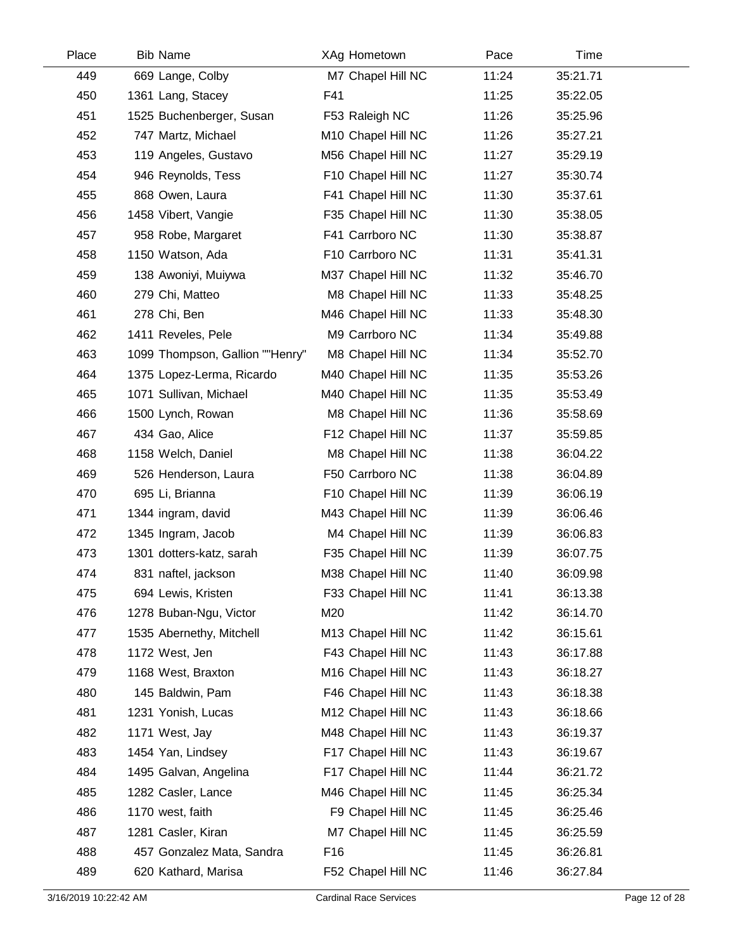| Place | <b>Bib Name</b>                 | XAg Hometown       | Pace  | Time     |
|-------|---------------------------------|--------------------|-------|----------|
| 449   | 669 Lange, Colby                | M7 Chapel Hill NC  | 11:24 | 35:21.71 |
| 450   | 1361 Lang, Stacey               | F41                | 11:25 | 35:22.05 |
| 451   | 1525 Buchenberger, Susan        | F53 Raleigh NC     | 11:26 | 35:25.96 |
| 452   | 747 Martz, Michael              | M10 Chapel Hill NC | 11:26 | 35:27.21 |
| 453   | 119 Angeles, Gustavo            | M56 Chapel Hill NC | 11:27 | 35:29.19 |
| 454   | 946 Reynolds, Tess              | F10 Chapel Hill NC | 11:27 | 35:30.74 |
| 455   | 868 Owen, Laura                 | F41 Chapel Hill NC | 11:30 | 35:37.61 |
| 456   | 1458 Vibert, Vangie             | F35 Chapel Hill NC | 11:30 | 35:38.05 |
| 457   | 958 Robe, Margaret              | F41 Carrboro NC    | 11:30 | 35:38.87 |
| 458   | 1150 Watson, Ada                | F10 Carrboro NC    | 11:31 | 35:41.31 |
| 459   | 138 Awoniyi, Muiywa             | M37 Chapel Hill NC | 11:32 | 35:46.70 |
| 460   | 279 Chi, Matteo                 | M8 Chapel Hill NC  | 11:33 | 35:48.25 |
| 461   | 278 Chi, Ben                    | M46 Chapel Hill NC | 11:33 | 35:48.30 |
| 462   | 1411 Reveles, Pele              | M9 Carrboro NC     | 11:34 | 35:49.88 |
| 463   | 1099 Thompson, Gallion ""Henry" | M8 Chapel Hill NC  | 11:34 | 35:52.70 |
| 464   | 1375 Lopez-Lerma, Ricardo       | M40 Chapel Hill NC | 11:35 | 35:53.26 |
| 465   | 1071 Sullivan, Michael          | M40 Chapel Hill NC | 11:35 | 35:53.49 |
| 466   | 1500 Lynch, Rowan               | M8 Chapel Hill NC  | 11:36 | 35:58.69 |
| 467   | 434 Gao, Alice                  | F12 Chapel Hill NC | 11:37 | 35:59.85 |
| 468   | 1158 Welch, Daniel              | M8 Chapel Hill NC  | 11:38 | 36:04.22 |
| 469   | 526 Henderson, Laura            | F50 Carrboro NC    | 11:38 | 36:04.89 |
| 470   | 695 Li, Brianna                 | F10 Chapel Hill NC | 11:39 | 36:06.19 |
| 471   | 1344 ingram, david              | M43 Chapel Hill NC | 11:39 | 36:06.46 |
| 472   | 1345 Ingram, Jacob              | M4 Chapel Hill NC  | 11:39 | 36:06.83 |
| 473   | 1301 dotters-katz, sarah        | F35 Chapel Hill NC | 11:39 | 36:07.75 |
| 474   | 831 naftel, jackson             | M38 Chapel Hill NC | 11:40 | 36:09.98 |
| 475   | 694 Lewis, Kristen              | F33 Chapel Hill NC | 11:41 | 36:13.38 |
| 476   | 1278 Buban-Ngu, Victor          | M20                | 11:42 | 36:14.70 |
| 477   | 1535 Abernethy, Mitchell        | M13 Chapel Hill NC | 11:42 | 36:15.61 |
| 478   | 1172 West, Jen                  | F43 Chapel Hill NC | 11:43 | 36:17.88 |
| 479   | 1168 West, Braxton              | M16 Chapel Hill NC | 11:43 | 36:18.27 |
| 480   | 145 Baldwin, Pam                | F46 Chapel Hill NC | 11:43 | 36:18.38 |
| 481   | 1231 Yonish, Lucas              | M12 Chapel Hill NC | 11:43 | 36:18.66 |
| 482   | 1171 West, Jay                  | M48 Chapel Hill NC | 11:43 | 36:19.37 |
| 483   | 1454 Yan, Lindsey               | F17 Chapel Hill NC | 11:43 | 36:19.67 |
| 484   | 1495 Galvan, Angelina           | F17 Chapel Hill NC | 11:44 | 36:21.72 |
| 485   | 1282 Casler, Lance              | M46 Chapel Hill NC | 11:45 | 36:25.34 |
| 486   | 1170 west, faith                | F9 Chapel Hill NC  | 11:45 | 36:25.46 |
| 487   | 1281 Casler, Kiran              | M7 Chapel Hill NC  | 11:45 | 36:25.59 |
| 488   | 457 Gonzalez Mata, Sandra       | F16                | 11:45 | 36:26.81 |
| 489   | 620 Kathard, Marisa             | F52 Chapel Hill NC | 11:46 | 36:27.84 |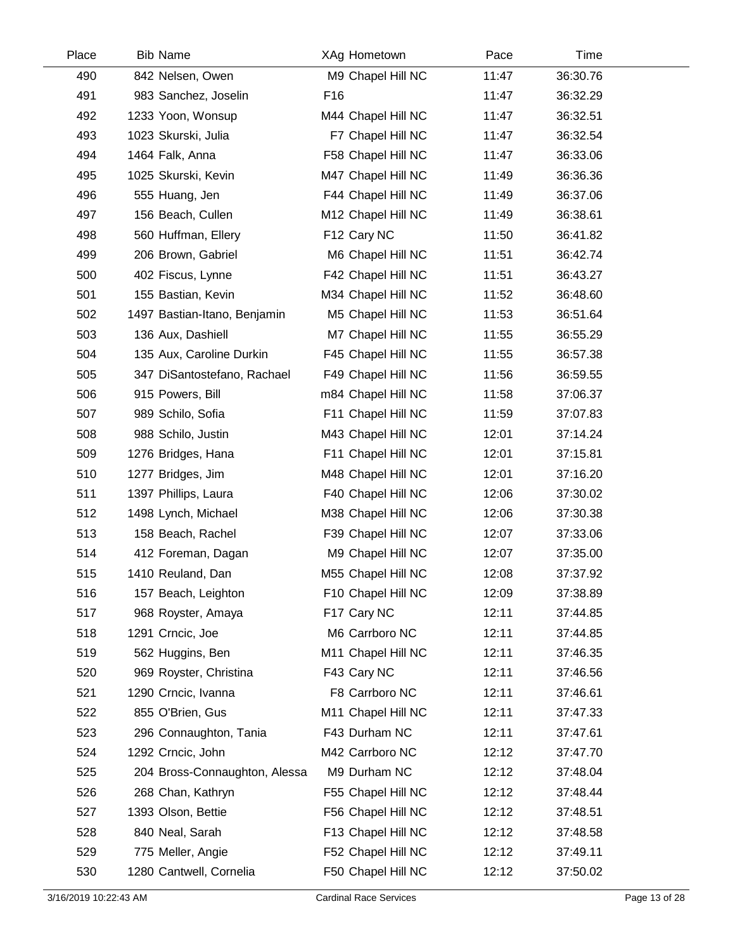| Place | <b>Bib Name</b>               |                 | XAg Hometown       | Pace  | Time     |  |
|-------|-------------------------------|-----------------|--------------------|-------|----------|--|
| 490   | 842 Nelsen, Owen              |                 | M9 Chapel Hill NC  | 11:47 | 36:30.76 |  |
| 491   | 983 Sanchez, Joselin          | F <sub>16</sub> |                    | 11:47 | 36:32.29 |  |
| 492   | 1233 Yoon, Wonsup             |                 | M44 Chapel Hill NC | 11:47 | 36:32.51 |  |
| 493   | 1023 Skurski, Julia           |                 | F7 Chapel Hill NC  | 11:47 | 36:32.54 |  |
| 494   | 1464 Falk, Anna               |                 | F58 Chapel Hill NC | 11:47 | 36:33.06 |  |
| 495   | 1025 Skurski, Kevin           |                 | M47 Chapel Hill NC | 11:49 | 36:36.36 |  |
| 496   | 555 Huang, Jen                |                 | F44 Chapel Hill NC | 11:49 | 36:37.06 |  |
| 497   | 156 Beach, Cullen             |                 | M12 Chapel Hill NC | 11:49 | 36:38.61 |  |
| 498   | 560 Huffman, Ellery           |                 | F12 Cary NC        | 11:50 | 36:41.82 |  |
| 499   | 206 Brown, Gabriel            |                 | M6 Chapel Hill NC  | 11:51 | 36:42.74 |  |
| 500   | 402 Fiscus, Lynne             |                 | F42 Chapel Hill NC | 11:51 | 36:43.27 |  |
| 501   | 155 Bastian, Kevin            |                 | M34 Chapel Hill NC | 11:52 | 36:48.60 |  |
| 502   | 1497 Bastian-Itano, Benjamin  |                 | M5 Chapel Hill NC  | 11:53 | 36:51.64 |  |
| 503   | 136 Aux, Dashiell             |                 | M7 Chapel Hill NC  | 11:55 | 36:55.29 |  |
| 504   | 135 Aux, Caroline Durkin      |                 | F45 Chapel Hill NC | 11:55 | 36:57.38 |  |
| 505   | 347 DiSantostefano, Rachael   |                 | F49 Chapel Hill NC | 11:56 | 36:59.55 |  |
| 506   | 915 Powers, Bill              |                 | m84 Chapel Hill NC | 11:58 | 37:06.37 |  |
| 507   | 989 Schilo, Sofia             |                 | F11 Chapel Hill NC | 11:59 | 37:07.83 |  |
| 508   | 988 Schilo, Justin            |                 | M43 Chapel Hill NC | 12:01 | 37:14.24 |  |
| 509   | 1276 Bridges, Hana            |                 | F11 Chapel Hill NC | 12:01 | 37:15.81 |  |
| 510   | 1277 Bridges, Jim             |                 | M48 Chapel Hill NC | 12:01 | 37:16.20 |  |
| 511   | 1397 Phillips, Laura          |                 | F40 Chapel Hill NC | 12:06 | 37:30.02 |  |
| 512   | 1498 Lynch, Michael           |                 | M38 Chapel Hill NC | 12:06 | 37:30.38 |  |
| 513   | 158 Beach, Rachel             |                 | F39 Chapel Hill NC | 12:07 | 37:33.06 |  |
| 514   | 412 Foreman, Dagan            |                 | M9 Chapel Hill NC  | 12:07 | 37:35.00 |  |
| 515   | 1410 Reuland, Dan             |                 | M55 Chapel Hill NC | 12:08 | 37:37.92 |  |
| 516   | 157 Beach, Leighton           |                 | F10 Chapel Hill NC | 12:09 | 37:38.89 |  |
| 517   | 968 Royster, Amaya            |                 | F17 Cary NC        | 12:11 | 37:44.85 |  |
| 518   | 1291 Crncic, Joe              |                 | M6 Carrboro NC     | 12:11 | 37:44.85 |  |
| 519   | 562 Huggins, Ben              |                 | M11 Chapel Hill NC | 12:11 | 37:46.35 |  |
| 520   | 969 Royster, Christina        |                 | F43 Cary NC        | 12:11 | 37:46.56 |  |
| 521   | 1290 Crncic, Ivanna           |                 | F8 Carrboro NC     | 12:11 | 37:46.61 |  |
| 522   | 855 O'Brien, Gus              |                 | M11 Chapel Hill NC | 12:11 | 37:47.33 |  |
| 523   | 296 Connaughton, Tania        |                 | F43 Durham NC      | 12:11 | 37:47.61 |  |
| 524   | 1292 Crncic, John             |                 | M42 Carrboro NC    | 12:12 | 37:47.70 |  |
| 525   | 204 Bross-Connaughton, Alessa |                 | M9 Durham NC       | 12:12 | 37:48.04 |  |
| 526   | 268 Chan, Kathryn             |                 | F55 Chapel Hill NC | 12:12 | 37:48.44 |  |
| 527   | 1393 Olson, Bettie            |                 | F56 Chapel Hill NC | 12:12 | 37:48.51 |  |
| 528   | 840 Neal, Sarah               |                 | F13 Chapel Hill NC | 12:12 | 37:48.58 |  |
| 529   | 775 Meller, Angie             |                 | F52 Chapel Hill NC | 12:12 | 37:49.11 |  |
| 530   | 1280 Cantwell, Cornelia       |                 | F50 Chapel Hill NC | 12:12 | 37:50.02 |  |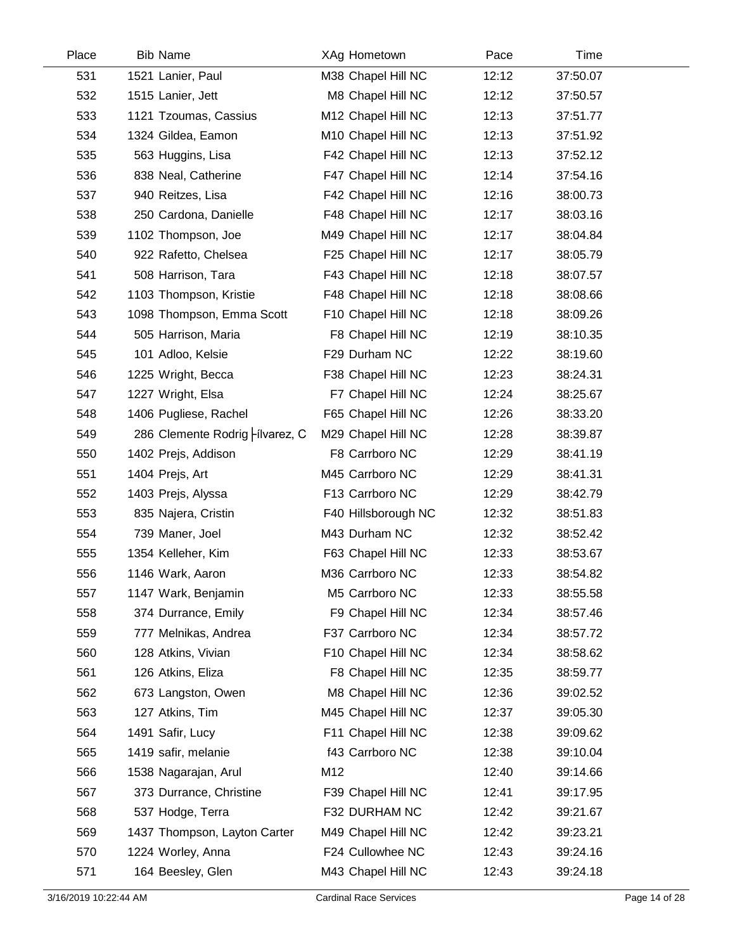| Place | <b>Bib Name</b>                | XAg Hometown        | Pace  | Time     |  |
|-------|--------------------------------|---------------------|-------|----------|--|
| 531   | 1521 Lanier, Paul              | M38 Chapel Hill NC  | 12:12 | 37:50.07 |  |
| 532   | 1515 Lanier, Jett              | M8 Chapel Hill NC   | 12:12 | 37:50.57 |  |
| 533   | 1121 Tzoumas, Cassius          | M12 Chapel Hill NC  | 12:13 | 37:51.77 |  |
| 534   | 1324 Gildea, Eamon             | M10 Chapel Hill NC  | 12:13 | 37:51.92 |  |
| 535   | 563 Huggins, Lisa              | F42 Chapel Hill NC  | 12:13 | 37:52.12 |  |
| 536   | 838 Neal, Catherine            | F47 Chapel Hill NC  | 12:14 | 37:54.16 |  |
| 537   | 940 Reitzes, Lisa              | F42 Chapel Hill NC  | 12:16 | 38:00.73 |  |
| 538   | 250 Cardona, Danielle          | F48 Chapel Hill NC  | 12:17 | 38:03.16 |  |
| 539   | 1102 Thompson, Joe             | M49 Chapel Hill NC  | 12:17 | 38:04.84 |  |
| 540   | 922 Rafetto, Chelsea           | F25 Chapel Hill NC  | 12:17 | 38:05.79 |  |
| 541   | 508 Harrison, Tara             | F43 Chapel Hill NC  | 12:18 | 38:07.57 |  |
| 542   | 1103 Thompson, Kristie         | F48 Chapel Hill NC  | 12:18 | 38:08.66 |  |
| 543   | 1098 Thompson, Emma Scott      | F10 Chapel Hill NC  | 12:18 | 38:09.26 |  |
| 544   | 505 Harrison, Maria            | F8 Chapel Hill NC   | 12:19 | 38:10.35 |  |
| 545   | 101 Adloo, Kelsie              | F29 Durham NC       | 12:22 | 38:19.60 |  |
| 546   | 1225 Wright, Becca             | F38 Chapel Hill NC  | 12:23 | 38:24.31 |  |
| 547   | 1227 Wright, Elsa              | F7 Chapel Hill NC   | 12:24 | 38:25.67 |  |
| 548   | 1406 Pugliese, Rachel          | F65 Chapel Hill NC  | 12:26 | 38:33.20 |  |
| 549   | 286 Clemente Rodrig Hivarez, C | M29 Chapel Hill NC  | 12:28 | 38:39.87 |  |
| 550   | 1402 Prejs, Addison            | F8 Carrboro NC      | 12:29 | 38:41.19 |  |
| 551   | 1404 Prejs, Art                | M45 Carrboro NC     | 12:29 | 38:41.31 |  |
| 552   | 1403 Prejs, Alyssa             | F13 Carrboro NC     | 12:29 | 38:42.79 |  |
| 553   | 835 Najera, Cristin            | F40 Hillsborough NC | 12:32 | 38:51.83 |  |
| 554   | 739 Maner, Joel                | M43 Durham NC       | 12:32 | 38:52.42 |  |
| 555   | 1354 Kelleher, Kim             | F63 Chapel Hill NC  | 12:33 | 38:53.67 |  |
| 556   | 1146 Wark, Aaron               | M36 Carrboro NC     | 12:33 | 38:54.82 |  |
| 557   | 1147 Wark, Benjamin            | M5 Carrboro NC      | 12:33 | 38:55.58 |  |
| 558   | 374 Durrance, Emily            | F9 Chapel Hill NC   | 12:34 | 38:57.46 |  |
| 559   | 777 Melnikas, Andrea           | F37 Carrboro NC     | 12:34 | 38:57.72 |  |
| 560   | 128 Atkins, Vivian             | F10 Chapel Hill NC  | 12:34 | 38:58.62 |  |
| 561   | 126 Atkins, Eliza              | F8 Chapel Hill NC   | 12:35 | 38:59.77 |  |
| 562   | 673 Langston, Owen             | M8 Chapel Hill NC   | 12:36 | 39:02.52 |  |
| 563   | 127 Atkins, Tim                | M45 Chapel Hill NC  | 12:37 | 39:05.30 |  |
| 564   | 1491 Safir, Lucy               | F11 Chapel Hill NC  | 12:38 | 39:09.62 |  |
| 565   | 1419 safir, melanie            | f43 Carrboro NC     | 12:38 | 39:10.04 |  |
| 566   | 1538 Nagarajan, Arul           | M12                 | 12:40 | 39:14.66 |  |
| 567   | 373 Durrance, Christine        | F39 Chapel Hill NC  | 12:41 | 39:17.95 |  |
| 568   | 537 Hodge, Terra               | F32 DURHAM NC       | 12:42 | 39:21.67 |  |
| 569   | 1437 Thompson, Layton Carter   | M49 Chapel Hill NC  | 12:42 | 39:23.21 |  |
| 570   | 1224 Worley, Anna              | F24 Cullowhee NC    | 12:43 | 39:24.16 |  |
| 571   | 164 Beesley, Glen              | M43 Chapel Hill NC  | 12:43 | 39:24.18 |  |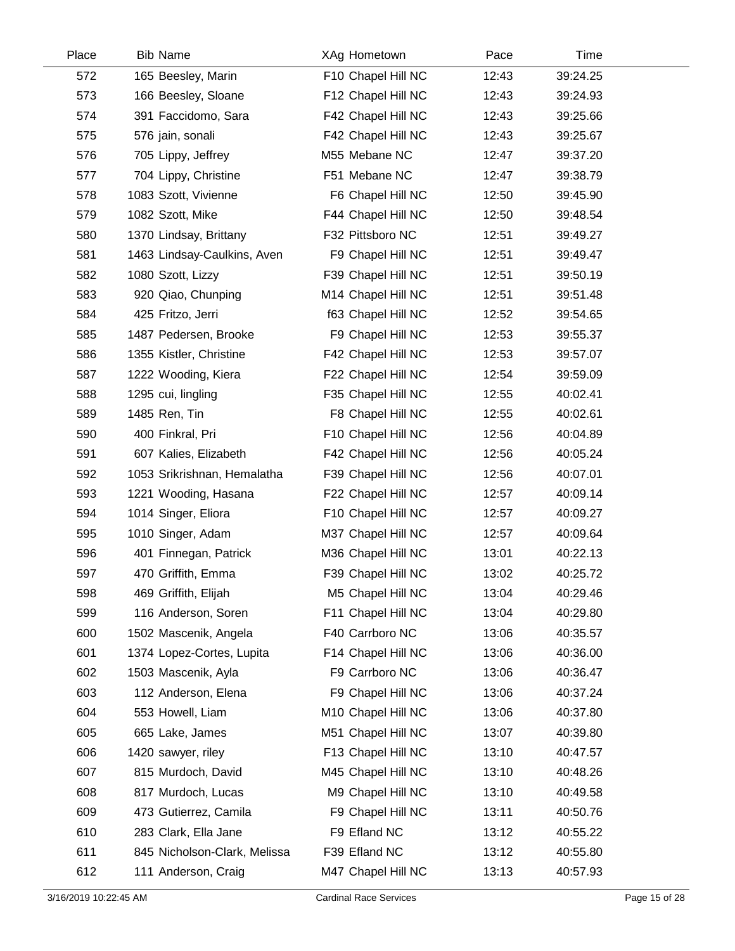| Place | <b>Bib Name</b>              | XAg Hometown       | Pace  | Time     |  |
|-------|------------------------------|--------------------|-------|----------|--|
| 572   | 165 Beesley, Marin           | F10 Chapel Hill NC | 12:43 | 39:24.25 |  |
| 573   | 166 Beesley, Sloane          | F12 Chapel Hill NC | 12:43 | 39:24.93 |  |
| 574   | 391 Faccidomo, Sara          | F42 Chapel Hill NC | 12:43 | 39:25.66 |  |
| 575   | 576 jain, sonali             | F42 Chapel Hill NC | 12:43 | 39:25.67 |  |
| 576   | 705 Lippy, Jeffrey           | M55 Mebane NC      | 12:47 | 39:37.20 |  |
| 577   | 704 Lippy, Christine         | F51 Mebane NC      | 12:47 | 39:38.79 |  |
| 578   | 1083 Szott, Vivienne         | F6 Chapel Hill NC  | 12:50 | 39:45.90 |  |
| 579   | 1082 Szott, Mike             | F44 Chapel Hill NC | 12:50 | 39:48.54 |  |
| 580   | 1370 Lindsay, Brittany       | F32 Pittsboro NC   | 12:51 | 39:49.27 |  |
| 581   | 1463 Lindsay-Caulkins, Aven  | F9 Chapel Hill NC  | 12:51 | 39:49.47 |  |
| 582   | 1080 Szott, Lizzy            | F39 Chapel Hill NC | 12:51 | 39:50.19 |  |
| 583   | 920 Qiao, Chunping           | M14 Chapel Hill NC | 12:51 | 39:51.48 |  |
| 584   | 425 Fritzo, Jerri            | f63 Chapel Hill NC | 12:52 | 39:54.65 |  |
| 585   | 1487 Pedersen, Brooke        | F9 Chapel Hill NC  | 12:53 | 39:55.37 |  |
| 586   | 1355 Kistler, Christine      | F42 Chapel Hill NC | 12:53 | 39:57.07 |  |
| 587   | 1222 Wooding, Kiera          | F22 Chapel Hill NC | 12:54 | 39:59.09 |  |
| 588   | 1295 cui, lingling           | F35 Chapel Hill NC | 12:55 | 40:02.41 |  |
| 589   | 1485 Ren, Tin                | F8 Chapel Hill NC  | 12:55 | 40:02.61 |  |
| 590   | 400 Finkral, Pri             | F10 Chapel Hill NC | 12:56 | 40:04.89 |  |
| 591   | 607 Kalies, Elizabeth        | F42 Chapel Hill NC | 12:56 | 40:05.24 |  |
| 592   | 1053 Srikrishnan, Hemalatha  | F39 Chapel Hill NC | 12:56 | 40:07.01 |  |
| 593   | 1221 Wooding, Hasana         | F22 Chapel Hill NC | 12:57 | 40:09.14 |  |
| 594   | 1014 Singer, Eliora          | F10 Chapel Hill NC | 12:57 | 40:09.27 |  |
| 595   | 1010 Singer, Adam            | M37 Chapel Hill NC | 12:57 | 40:09.64 |  |
| 596   | 401 Finnegan, Patrick        | M36 Chapel Hill NC | 13:01 | 40:22.13 |  |
| 597   | 470 Griffith, Emma           | F39 Chapel Hill NC | 13:02 | 40:25.72 |  |
| 598   | 469 Griffith, Elijah         | M5 Chapel Hill NC  | 13:04 | 40:29.46 |  |
| 599   | 116 Anderson, Soren          | F11 Chapel Hill NC | 13:04 | 40:29.80 |  |
| 600   | 1502 Mascenik, Angela        | F40 Carrboro NC    | 13:06 | 40:35.57 |  |
| 601   | 1374 Lopez-Cortes, Lupita    | F14 Chapel Hill NC | 13:06 | 40:36.00 |  |
| 602   | 1503 Mascenik, Ayla          | F9 Carrboro NC     | 13:06 | 40:36.47 |  |
| 603   | 112 Anderson, Elena          | F9 Chapel Hill NC  | 13:06 | 40:37.24 |  |
| 604   | 553 Howell, Liam             | M10 Chapel Hill NC | 13:06 | 40:37.80 |  |
| 605   | 665 Lake, James              | M51 Chapel Hill NC | 13:07 | 40:39.80 |  |
| 606   | 1420 sawyer, riley           | F13 Chapel Hill NC | 13:10 | 40:47.57 |  |
| 607   | 815 Murdoch, David           | M45 Chapel Hill NC | 13:10 | 40:48.26 |  |
| 608   | 817 Murdoch, Lucas           | M9 Chapel Hill NC  | 13:10 | 40:49.58 |  |
| 609   | 473 Gutierrez, Camila        | F9 Chapel Hill NC  | 13:11 | 40:50.76 |  |
| 610   | 283 Clark, Ella Jane         | F9 Efland NC       | 13:12 | 40:55.22 |  |
| 611   | 845 Nicholson-Clark, Melissa | F39 Efland NC      | 13:12 | 40:55.80 |  |
| 612   | 111 Anderson, Craig          | M47 Chapel Hill NC | 13:13 | 40:57.93 |  |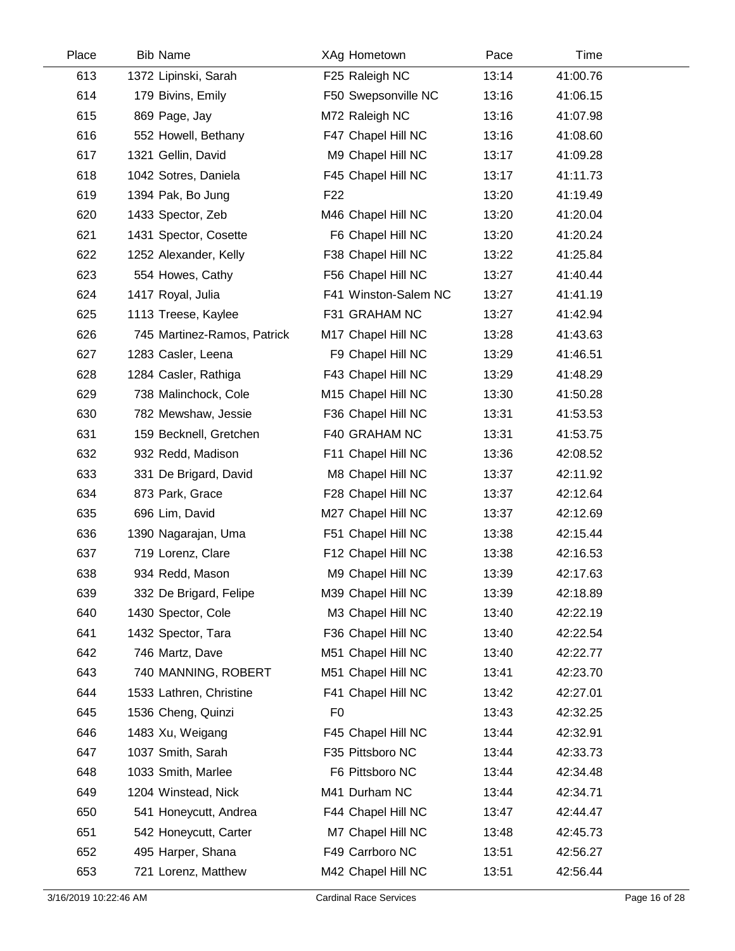| Place | <b>Bib Name</b>             | XAg Hometown         | Pace  | Time     |  |
|-------|-----------------------------|----------------------|-------|----------|--|
| 613   | 1372 Lipinski, Sarah        | F25 Raleigh NC       | 13:14 | 41:00.76 |  |
| 614   | 179 Bivins, Emily           | F50 Swepsonville NC  | 13:16 | 41:06.15 |  |
| 615   | 869 Page, Jay               | M72 Raleigh NC       | 13:16 | 41:07.98 |  |
| 616   | 552 Howell, Bethany         | F47 Chapel Hill NC   | 13:16 | 41:08.60 |  |
| 617   | 1321 Gellin, David          | M9 Chapel Hill NC    | 13:17 | 41:09.28 |  |
| 618   | 1042 Sotres, Daniela        | F45 Chapel Hill NC   | 13:17 | 41:11.73 |  |
| 619   | 1394 Pak, Bo Jung           | F <sub>22</sub>      | 13:20 | 41:19.49 |  |
| 620   | 1433 Spector, Zeb           | M46 Chapel Hill NC   | 13:20 | 41:20.04 |  |
| 621   | 1431 Spector, Cosette       | F6 Chapel Hill NC    | 13:20 | 41:20.24 |  |
| 622   | 1252 Alexander, Kelly       | F38 Chapel Hill NC   | 13:22 | 41:25.84 |  |
| 623   | 554 Howes, Cathy            | F56 Chapel Hill NC   | 13:27 | 41:40.44 |  |
| 624   | 1417 Royal, Julia           | F41 Winston-Salem NC | 13:27 | 41:41.19 |  |
| 625   | 1113 Treese, Kaylee         | F31 GRAHAM NC        | 13:27 | 41:42.94 |  |
| 626   | 745 Martinez-Ramos, Patrick | M17 Chapel Hill NC   | 13:28 | 41:43.63 |  |
| 627   | 1283 Casler, Leena          | F9 Chapel Hill NC    | 13:29 | 41:46.51 |  |
| 628   | 1284 Casler, Rathiga        | F43 Chapel Hill NC   | 13:29 | 41:48.29 |  |
| 629   | 738 Malinchock, Cole        | M15 Chapel Hill NC   | 13:30 | 41:50.28 |  |
| 630   | 782 Mewshaw, Jessie         | F36 Chapel Hill NC   | 13:31 | 41:53.53 |  |
| 631   | 159 Becknell, Gretchen      | F40 GRAHAM NC        | 13:31 | 41:53.75 |  |
| 632   | 932 Redd, Madison           | F11 Chapel Hill NC   | 13:36 | 42:08.52 |  |
| 633   | 331 De Brigard, David       | M8 Chapel Hill NC    | 13:37 | 42:11.92 |  |
| 634   | 873 Park, Grace             | F28 Chapel Hill NC   | 13:37 | 42:12.64 |  |
| 635   | 696 Lim, David              | M27 Chapel Hill NC   | 13:37 | 42:12.69 |  |
| 636   | 1390 Nagarajan, Uma         | F51 Chapel Hill NC   | 13:38 | 42:15.44 |  |
| 637   | 719 Lorenz, Clare           | F12 Chapel Hill NC   | 13:38 | 42:16.53 |  |
| 638   | 934 Redd, Mason             | M9 Chapel Hill NC    | 13:39 | 42:17.63 |  |
| 639   | 332 De Brigard, Felipe      | M39 Chapel Hill NC   | 13:39 | 42:18.89 |  |
| 640   | 1430 Spector, Cole          | M3 Chapel Hill NC    | 13:40 | 42:22.19 |  |
| 641   | 1432 Spector, Tara          | F36 Chapel Hill NC   | 13:40 | 42:22.54 |  |
| 642   | 746 Martz, Dave             | M51 Chapel Hill NC   | 13:40 | 42:22.77 |  |
| 643   | 740 MANNING, ROBERT         | M51 Chapel Hill NC   | 13:41 | 42:23.70 |  |
| 644   | 1533 Lathren, Christine     | F41 Chapel Hill NC   | 13:42 | 42:27.01 |  |
| 645   | 1536 Cheng, Quinzi          | F <sub>0</sub>       | 13:43 | 42:32.25 |  |
| 646   | 1483 Xu, Weigang            | F45 Chapel Hill NC   | 13:44 | 42:32.91 |  |
| 647   | 1037 Smith, Sarah           | F35 Pittsboro NC     | 13:44 | 42:33.73 |  |
| 648   | 1033 Smith, Marlee          | F6 Pittsboro NC      | 13:44 | 42:34.48 |  |
| 649   | 1204 Winstead, Nick         | M41 Durham NC        | 13:44 | 42:34.71 |  |
| 650   | 541 Honeycutt, Andrea       | F44 Chapel Hill NC   | 13:47 | 42:44.47 |  |
| 651   | 542 Honeycutt, Carter       | M7 Chapel Hill NC    | 13:48 | 42:45.73 |  |
| 652   | 495 Harper, Shana           | F49 Carrboro NC      | 13:51 | 42:56.27 |  |
| 653   | 721 Lorenz, Matthew         | M42 Chapel Hill NC   | 13:51 | 42:56.44 |  |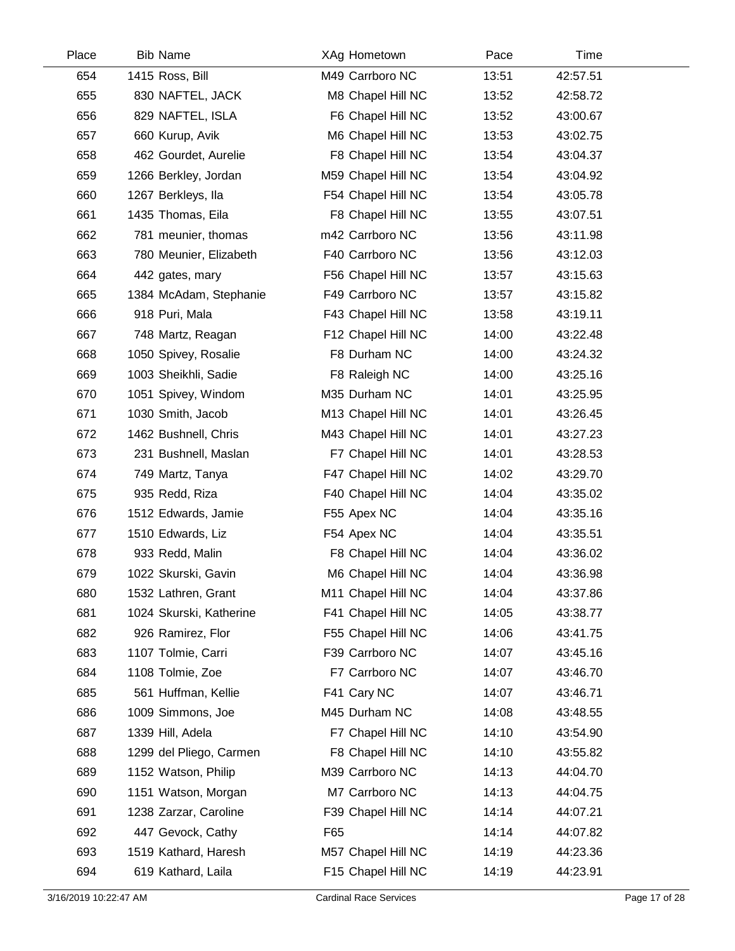| Place | <b>Bib Name</b>         | XAg Hometown       | Pace  | Time     |  |
|-------|-------------------------|--------------------|-------|----------|--|
| 654   | 1415 Ross, Bill         | M49 Carrboro NC    | 13:51 | 42:57.51 |  |
| 655   | 830 NAFTEL, JACK        | M8 Chapel Hill NC  | 13:52 | 42:58.72 |  |
| 656   | 829 NAFTEL, ISLA        | F6 Chapel Hill NC  | 13:52 | 43:00.67 |  |
| 657   | 660 Kurup, Avik         | M6 Chapel Hill NC  | 13:53 | 43:02.75 |  |
| 658   | 462 Gourdet, Aurelie    | F8 Chapel Hill NC  | 13:54 | 43:04.37 |  |
| 659   | 1266 Berkley, Jordan    | M59 Chapel Hill NC | 13:54 | 43:04.92 |  |
| 660   | 1267 Berkleys, Ila      | F54 Chapel Hill NC | 13:54 | 43:05.78 |  |
| 661   | 1435 Thomas, Eila       | F8 Chapel Hill NC  | 13:55 | 43:07.51 |  |
| 662   | 781 meunier, thomas     | m42 Carrboro NC    | 13:56 | 43:11.98 |  |
| 663   | 780 Meunier, Elizabeth  | F40 Carrboro NC    | 13:56 | 43:12.03 |  |
| 664   | 442 gates, mary         | F56 Chapel Hill NC | 13:57 | 43:15.63 |  |
| 665   | 1384 McAdam, Stephanie  | F49 Carrboro NC    | 13:57 | 43:15.82 |  |
| 666   | 918 Puri, Mala          | F43 Chapel Hill NC | 13:58 | 43:19.11 |  |
| 667   | 748 Martz, Reagan       | F12 Chapel Hill NC | 14:00 | 43:22.48 |  |
| 668   | 1050 Spivey, Rosalie    | F8 Durham NC       | 14:00 | 43:24.32 |  |
| 669   | 1003 Sheikhli, Sadie    | F8 Raleigh NC      | 14:00 | 43:25.16 |  |
| 670   | 1051 Spivey, Windom     | M35 Durham NC      | 14:01 | 43:25.95 |  |
| 671   | 1030 Smith, Jacob       | M13 Chapel Hill NC | 14:01 | 43:26.45 |  |
| 672   | 1462 Bushnell, Chris    | M43 Chapel Hill NC | 14:01 | 43:27.23 |  |
| 673   | 231 Bushnell, Maslan    | F7 Chapel Hill NC  | 14:01 | 43:28.53 |  |
| 674   | 749 Martz, Tanya        | F47 Chapel Hill NC | 14:02 | 43:29.70 |  |
| 675   | 935 Redd, Riza          | F40 Chapel Hill NC | 14:04 | 43:35.02 |  |
| 676   | 1512 Edwards, Jamie     | F55 Apex NC        | 14:04 | 43:35.16 |  |
| 677   | 1510 Edwards, Liz       | F54 Apex NC        | 14:04 | 43:35.51 |  |
| 678   | 933 Redd, Malin         | F8 Chapel Hill NC  | 14:04 | 43:36.02 |  |
| 679   | 1022 Skurski, Gavin     | M6 Chapel Hill NC  | 14:04 | 43:36.98 |  |
| 680   | 1532 Lathren, Grant     | M11 Chapel Hill NC | 14:04 | 43:37.86 |  |
| 681   | 1024 Skurski, Katherine | F41 Chapel Hill NC | 14:05 | 43:38.77 |  |
| 682   | 926 Ramirez, Flor       | F55 Chapel Hill NC | 14:06 | 43:41.75 |  |
| 683   | 1107 Tolmie, Carri      | F39 Carrboro NC    | 14:07 | 43:45.16 |  |
| 684   | 1108 Tolmie, Zoe        | F7 Carrboro NC     | 14:07 | 43:46.70 |  |
| 685   | 561 Huffman, Kellie     | F41 Cary NC        | 14:07 | 43:46.71 |  |
| 686   | 1009 Simmons, Joe       | M45 Durham NC      | 14:08 | 43:48.55 |  |
| 687   | 1339 Hill, Adela        | F7 Chapel Hill NC  | 14:10 | 43:54.90 |  |
| 688   | 1299 del Pliego, Carmen | F8 Chapel Hill NC  | 14:10 | 43:55.82 |  |
| 689   | 1152 Watson, Philip     | M39 Carrboro NC    | 14:13 | 44:04.70 |  |
| 690   | 1151 Watson, Morgan     | M7 Carrboro NC     | 14:13 | 44:04.75 |  |
| 691   | 1238 Zarzar, Caroline   | F39 Chapel Hill NC | 14:14 | 44:07.21 |  |
| 692   | 447 Gevock, Cathy       | F65                | 14:14 | 44:07.82 |  |
| 693   | 1519 Kathard, Haresh    | M57 Chapel Hill NC | 14:19 | 44:23.36 |  |
| 694   | 619 Kathard, Laila      | F15 Chapel Hill NC | 14:19 | 44:23.91 |  |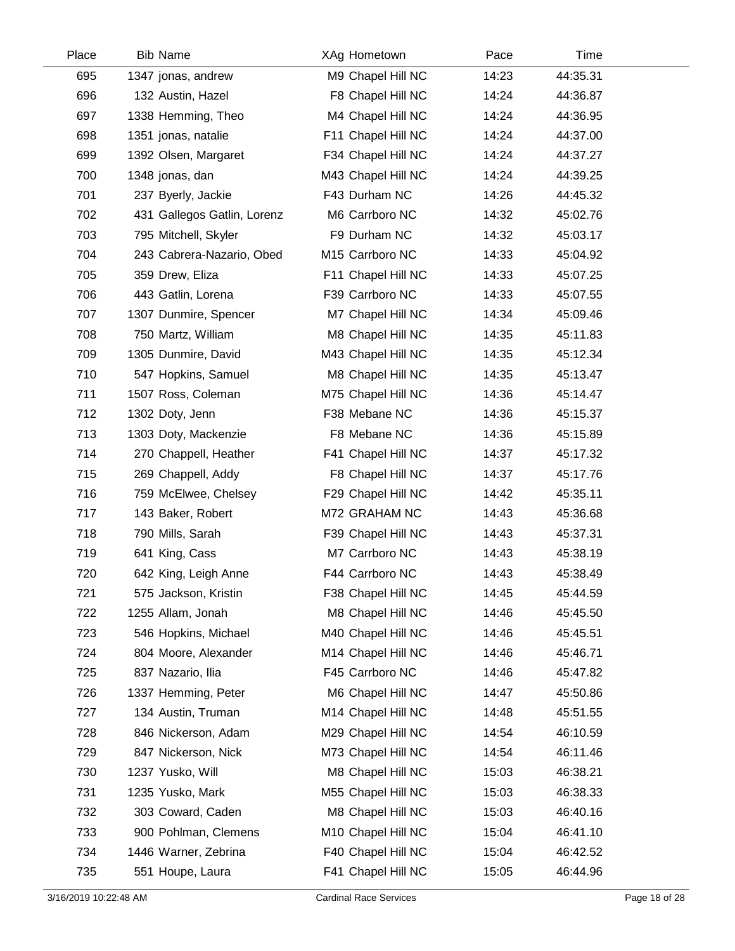| Place | <b>Bib Name</b>       |                             | XAg Hometown       | Pace  | Time     |
|-------|-----------------------|-----------------------------|--------------------|-------|----------|
| 695   | 1347 jonas, andrew    |                             | M9 Chapel Hill NC  | 14:23 | 44:35.31 |
| 696   | 132 Austin, Hazel     |                             | F8 Chapel Hill NC  | 14:24 | 44:36.87 |
| 697   | 1338 Hemming, Theo    |                             | M4 Chapel Hill NC  | 14:24 | 44:36.95 |
| 698   | 1351 jonas, natalie   |                             | F11 Chapel Hill NC | 14:24 | 44:37.00 |
| 699   | 1392 Olsen, Margaret  |                             | F34 Chapel Hill NC | 14:24 | 44:37.27 |
| 700   | 1348 jonas, dan       |                             | M43 Chapel Hill NC | 14:24 | 44:39.25 |
| 701   | 237 Byerly, Jackie    |                             | F43 Durham NC      | 14:26 | 44:45.32 |
| 702   |                       | 431 Gallegos Gatlin, Lorenz | M6 Carrboro NC     | 14:32 | 45:02.76 |
| 703   | 795 Mitchell, Skyler  |                             | F9 Durham NC       | 14:32 | 45:03.17 |
| 704   |                       | 243 Cabrera-Nazario, Obed   | M15 Carrboro NC    | 14:33 | 45:04.92 |
| 705   | 359 Drew, Eliza       |                             | F11 Chapel Hill NC | 14:33 | 45:07.25 |
| 706   | 443 Gatlin, Lorena    |                             | F39 Carrboro NC    | 14:33 | 45:07.55 |
| 707   | 1307 Dunmire, Spencer |                             | M7 Chapel Hill NC  | 14:34 | 45:09.46 |
| 708   | 750 Martz, William    |                             | M8 Chapel Hill NC  | 14:35 | 45:11.83 |
| 709   | 1305 Dunmire, David   |                             | M43 Chapel Hill NC | 14:35 | 45:12.34 |
| 710   | 547 Hopkins, Samuel   |                             | M8 Chapel Hill NC  | 14:35 | 45:13.47 |
| 711   | 1507 Ross, Coleman    |                             | M75 Chapel Hill NC | 14:36 | 45:14.47 |
| 712   | 1302 Doty, Jenn       |                             | F38 Mebane NC      | 14:36 | 45:15.37 |
| 713   | 1303 Doty, Mackenzie  |                             | F8 Mebane NC       | 14:36 | 45:15.89 |
| 714   |                       | 270 Chappell, Heather       | F41 Chapel Hill NC | 14:37 | 45:17.32 |
| 715   | 269 Chappell, Addy    |                             | F8 Chapel Hill NC  | 14:37 | 45:17.76 |
| 716   |                       | 759 McElwee, Chelsey        | F29 Chapel Hill NC | 14:42 | 45:35.11 |
| 717   | 143 Baker, Robert     |                             | M72 GRAHAM NC      | 14:43 | 45:36.68 |
| 718   | 790 Mills, Sarah      |                             | F39 Chapel Hill NC | 14:43 | 45:37.31 |
| 719   | 641 King, Cass        |                             | M7 Carrboro NC     | 14:43 | 45:38.19 |
| 720   | 642 King, Leigh Anne  |                             | F44 Carrboro NC    | 14:43 | 45:38.49 |
| 721   | 575 Jackson, Kristin  |                             | F38 Chapel Hill NC | 14:45 | 45:44.59 |
| 722   | 1255 Allam, Jonah     |                             | M8 Chapel Hill NC  | 14:46 | 45:45.50 |
| 723   | 546 Hopkins, Michael  |                             | M40 Chapel Hill NC | 14:46 | 45:45.51 |
| 724   | 804 Moore, Alexander  |                             | M14 Chapel Hill NC | 14:46 | 45:46.71 |
| 725   | 837 Nazario, Ilia     |                             | F45 Carrboro NC    | 14:46 | 45:47.82 |
| 726   | 1337 Hemming, Peter   |                             | M6 Chapel Hill NC  | 14:47 | 45:50.86 |
| 727   | 134 Austin, Truman    |                             | M14 Chapel Hill NC | 14:48 | 45:51.55 |
| 728   | 846 Nickerson, Adam   |                             | M29 Chapel Hill NC | 14:54 | 46:10.59 |
| 729   | 847 Nickerson, Nick   |                             | M73 Chapel Hill NC | 14:54 | 46:11.46 |
| 730   | 1237 Yusko, Will      |                             | M8 Chapel Hill NC  | 15:03 | 46:38.21 |
| 731   | 1235 Yusko, Mark      |                             | M55 Chapel Hill NC | 15:03 | 46:38.33 |
| 732   | 303 Coward, Caden     |                             | M8 Chapel Hill NC  | 15:03 | 46:40.16 |
| 733   |                       | 900 Pohlman, Clemens        | M10 Chapel Hill NC | 15:04 | 46:41.10 |
| 734   | 1446 Warner, Zebrina  |                             | F40 Chapel Hill NC | 15:04 | 46:42.52 |
| 735   | 551 Houpe, Laura      |                             | F41 Chapel Hill NC | 15:05 | 46:44.96 |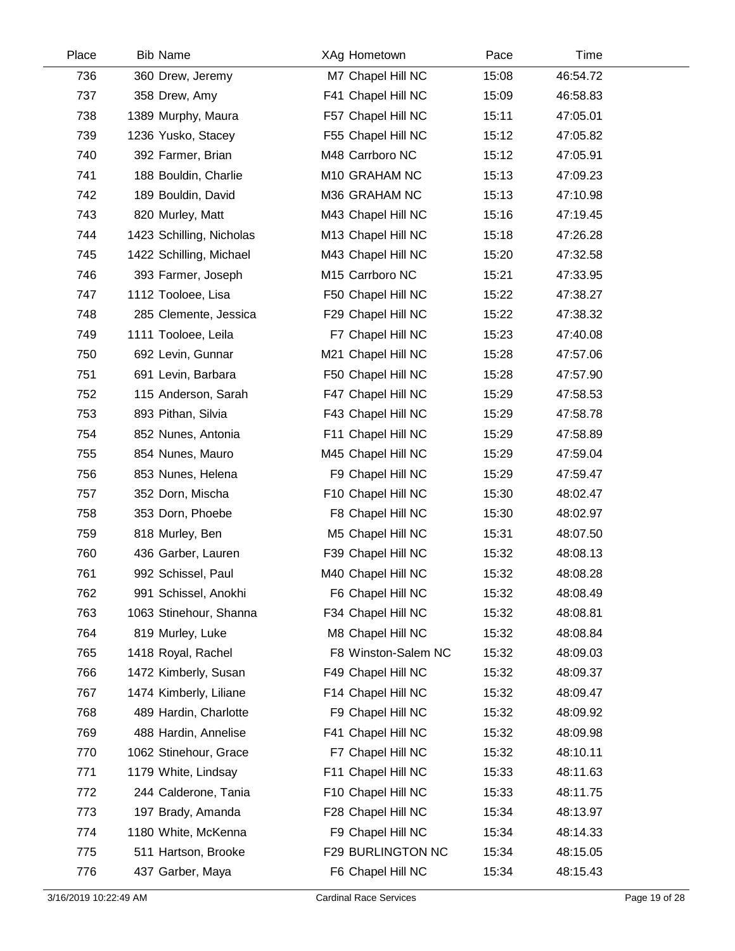| Place | <b>Bib Name</b>          | XAg Hometown        | Pace  | Time     |  |
|-------|--------------------------|---------------------|-------|----------|--|
| 736   | 360 Drew, Jeremy         | M7 Chapel Hill NC   | 15:08 | 46:54.72 |  |
| 737   | 358 Drew, Amy            | F41 Chapel Hill NC  | 15:09 | 46:58.83 |  |
| 738   | 1389 Murphy, Maura       | F57 Chapel Hill NC  | 15:11 | 47:05.01 |  |
| 739   | 1236 Yusko, Stacey       | F55 Chapel Hill NC  | 15:12 | 47:05.82 |  |
| 740   | 392 Farmer, Brian        | M48 Carrboro NC     | 15:12 | 47:05.91 |  |
| 741   | 188 Bouldin, Charlie     | M10 GRAHAM NC       | 15:13 | 47:09.23 |  |
| 742   | 189 Bouldin, David       | M36 GRAHAM NC       | 15:13 | 47:10.98 |  |
| 743   | 820 Murley, Matt         | M43 Chapel Hill NC  | 15:16 | 47:19.45 |  |
| 744   | 1423 Schilling, Nicholas | M13 Chapel Hill NC  | 15:18 | 47:26.28 |  |
| 745   | 1422 Schilling, Michael  | M43 Chapel Hill NC  | 15:20 | 47:32.58 |  |
| 746   | 393 Farmer, Joseph       | M15 Carrboro NC     | 15:21 | 47:33.95 |  |
| 747   | 1112 Tooloee, Lisa       | F50 Chapel Hill NC  | 15:22 | 47:38.27 |  |
| 748   | 285 Clemente, Jessica    | F29 Chapel Hill NC  | 15:22 | 47:38.32 |  |
| 749   | 1111 Tooloee, Leila      | F7 Chapel Hill NC   | 15:23 | 47:40.08 |  |
| 750   | 692 Levin, Gunnar        | M21 Chapel Hill NC  | 15:28 | 47:57.06 |  |
| 751   | 691 Levin, Barbara       | F50 Chapel Hill NC  | 15:28 | 47:57.90 |  |
| 752   | 115 Anderson, Sarah      | F47 Chapel Hill NC  | 15:29 | 47:58.53 |  |
| 753   | 893 Pithan, Silvia       | F43 Chapel Hill NC  | 15:29 | 47:58.78 |  |
| 754   | 852 Nunes, Antonia       | F11 Chapel Hill NC  | 15:29 | 47:58.89 |  |
| 755   | 854 Nunes, Mauro         | M45 Chapel Hill NC  | 15:29 | 47:59.04 |  |
| 756   | 853 Nunes, Helena        | F9 Chapel Hill NC   | 15:29 | 47:59.47 |  |
| 757   | 352 Dorn, Mischa         | F10 Chapel Hill NC  | 15:30 | 48:02.47 |  |
| 758   | 353 Dorn, Phoebe         | F8 Chapel Hill NC   | 15:30 | 48:02.97 |  |
| 759   | 818 Murley, Ben          | M5 Chapel Hill NC   | 15:31 | 48:07.50 |  |
| 760   | 436 Garber, Lauren       | F39 Chapel Hill NC  | 15:32 | 48:08.13 |  |
| 761   | 992 Schissel, Paul       | M40 Chapel Hill NC  | 15:32 | 48:08.28 |  |
| 762   | 991 Schissel, Anokhi     | F6 Chapel Hill NC   | 15:32 | 48:08.49 |  |
| 763   | 1063 Stinehour, Shanna   | F34 Chapel Hill NC  | 15:32 | 48:08.81 |  |
| 764   | 819 Murley, Luke         | M8 Chapel Hill NC   | 15:32 | 48:08.84 |  |
| 765   | 1418 Royal, Rachel       | F8 Winston-Salem NC | 15:32 | 48:09.03 |  |
| 766   | 1472 Kimberly, Susan     | F49 Chapel Hill NC  | 15:32 | 48:09.37 |  |
| 767   | 1474 Kimberly, Liliane   | F14 Chapel Hill NC  | 15:32 | 48:09.47 |  |
| 768   | 489 Hardin, Charlotte    | F9 Chapel Hill NC   | 15:32 | 48:09.92 |  |
| 769   | 488 Hardin, Annelise     | F41 Chapel Hill NC  | 15:32 | 48:09.98 |  |
| 770   | 1062 Stinehour, Grace    | F7 Chapel Hill NC   | 15:32 | 48:10.11 |  |
| 771   | 1179 White, Lindsay      | F11 Chapel Hill NC  | 15:33 | 48:11.63 |  |
| 772   | 244 Calderone, Tania     | F10 Chapel Hill NC  | 15:33 | 48:11.75 |  |
| 773   | 197 Brady, Amanda        | F28 Chapel Hill NC  | 15:34 | 48:13.97 |  |
| 774   | 1180 White, McKenna      | F9 Chapel Hill NC   | 15:34 | 48:14.33 |  |
| 775   | 511 Hartson, Brooke      | F29 BURLINGTON NC   | 15:34 | 48:15.05 |  |
| 776   | 437 Garber, Maya         | F6 Chapel Hill NC   | 15:34 | 48:15.43 |  |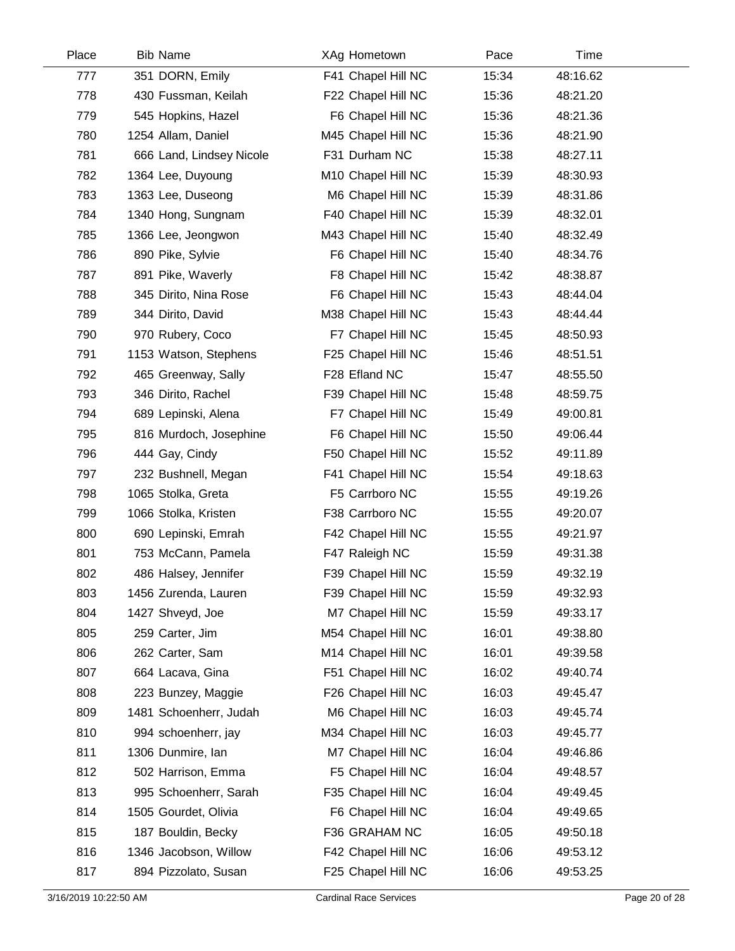| Place | <b>Bib Name</b>          | XAg Hometown       | Pace  | Time     |  |
|-------|--------------------------|--------------------|-------|----------|--|
| 777   | 351 DORN, Emily          | F41 Chapel Hill NC | 15:34 | 48:16.62 |  |
| 778   | 430 Fussman, Keilah      | F22 Chapel Hill NC | 15:36 | 48:21.20 |  |
| 779   | 545 Hopkins, Hazel       | F6 Chapel Hill NC  | 15:36 | 48:21.36 |  |
| 780   | 1254 Allam, Daniel       | M45 Chapel Hill NC | 15:36 | 48:21.90 |  |
| 781   | 666 Land, Lindsey Nicole | F31 Durham NC      | 15:38 | 48:27.11 |  |
| 782   | 1364 Lee, Duyoung        | M10 Chapel Hill NC | 15:39 | 48:30.93 |  |
| 783   | 1363 Lee, Duseong        | M6 Chapel Hill NC  | 15:39 | 48:31.86 |  |
| 784   | 1340 Hong, Sungnam       | F40 Chapel Hill NC | 15:39 | 48:32.01 |  |
| 785   | 1366 Lee, Jeongwon       | M43 Chapel Hill NC | 15:40 | 48:32.49 |  |
| 786   | 890 Pike, Sylvie         | F6 Chapel Hill NC  | 15:40 | 48:34.76 |  |
| 787   | 891 Pike, Waverly        | F8 Chapel Hill NC  | 15:42 | 48:38.87 |  |
| 788   | 345 Dirito, Nina Rose    | F6 Chapel Hill NC  | 15:43 | 48:44.04 |  |
| 789   | 344 Dirito, David        | M38 Chapel Hill NC | 15:43 | 48:44.44 |  |
| 790   | 970 Rubery, Coco         | F7 Chapel Hill NC  | 15:45 | 48:50.93 |  |
| 791   | 1153 Watson, Stephens    | F25 Chapel Hill NC | 15:46 | 48:51.51 |  |
| 792   | 465 Greenway, Sally      | F28 Efland NC      | 15:47 | 48:55.50 |  |
| 793   | 346 Dirito, Rachel       | F39 Chapel Hill NC | 15:48 | 48:59.75 |  |
| 794   | 689 Lepinski, Alena      | F7 Chapel Hill NC  | 15:49 | 49:00.81 |  |
| 795   | 816 Murdoch, Josephine   | F6 Chapel Hill NC  | 15:50 | 49:06.44 |  |
| 796   | 444 Gay, Cindy           | F50 Chapel Hill NC | 15:52 | 49:11.89 |  |
| 797   | 232 Bushnell, Megan      | F41 Chapel Hill NC | 15:54 | 49:18.63 |  |
| 798   | 1065 Stolka, Greta       | F5 Carrboro NC     | 15:55 | 49:19.26 |  |
| 799   | 1066 Stolka, Kristen     | F38 Carrboro NC    | 15:55 | 49:20.07 |  |
| 800   | 690 Lepinski, Emrah      | F42 Chapel Hill NC | 15:55 | 49:21.97 |  |
| 801   | 753 McCann, Pamela       | F47 Raleigh NC     | 15:59 | 49:31.38 |  |
| 802   | 486 Halsey, Jennifer     | F39 Chapel Hill NC | 15:59 | 49:32.19 |  |
| 803   | 1456 Zurenda, Lauren     | F39 Chapel Hill NC | 15:59 | 49:32.93 |  |
| 804   | 1427 Shveyd, Joe         | M7 Chapel Hill NC  | 15:59 | 49:33.17 |  |
| 805   | 259 Carter, Jim          | M54 Chapel Hill NC | 16:01 | 49:38.80 |  |
| 806   | 262 Carter, Sam          | M14 Chapel Hill NC | 16:01 | 49:39.58 |  |
| 807   | 664 Lacava, Gina         | F51 Chapel Hill NC | 16:02 | 49:40.74 |  |
| 808   | 223 Bunzey, Maggie       | F26 Chapel Hill NC | 16:03 | 49:45.47 |  |
| 809   | 1481 Schoenherr, Judah   | M6 Chapel Hill NC  | 16:03 | 49:45.74 |  |
| 810   | 994 schoenherr, jay      | M34 Chapel Hill NC | 16:03 | 49:45.77 |  |
| 811   | 1306 Dunmire, Ian        | M7 Chapel Hill NC  | 16:04 | 49:46.86 |  |
| 812   | 502 Harrison, Emma       | F5 Chapel Hill NC  | 16:04 | 49:48.57 |  |
| 813   | 995 Schoenherr, Sarah    | F35 Chapel Hill NC | 16:04 | 49:49.45 |  |
| 814   | 1505 Gourdet, Olivia     | F6 Chapel Hill NC  | 16:04 | 49:49.65 |  |
| 815   | 187 Bouldin, Becky       | F36 GRAHAM NC      | 16:05 | 49:50.18 |  |
| 816   | 1346 Jacobson, Willow    | F42 Chapel Hill NC | 16:06 | 49:53.12 |  |
| 817   | 894 Pizzolato, Susan     | F25 Chapel Hill NC | 16:06 | 49:53.25 |  |
|       |                          |                    |       |          |  |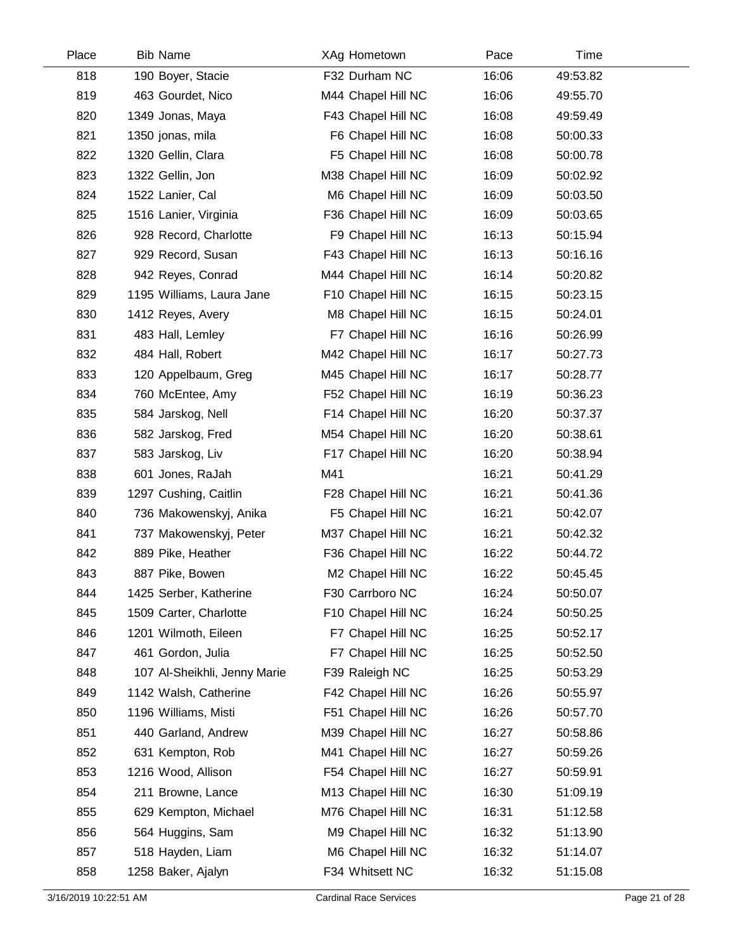| Place | <b>Bib Name</b>              | XAg Hometown       | Pace  | Time     |  |
|-------|------------------------------|--------------------|-------|----------|--|
| 818   | 190 Boyer, Stacie            | F32 Durham NC      | 16:06 | 49:53.82 |  |
| 819   | 463 Gourdet, Nico            | M44 Chapel Hill NC | 16:06 | 49:55.70 |  |
| 820   | 1349 Jonas, Maya             | F43 Chapel Hill NC | 16:08 | 49:59.49 |  |
| 821   | 1350 jonas, mila             | F6 Chapel Hill NC  | 16:08 | 50:00.33 |  |
| 822   | 1320 Gellin, Clara           | F5 Chapel Hill NC  | 16:08 | 50:00.78 |  |
| 823   | 1322 Gellin, Jon             | M38 Chapel Hill NC | 16:09 | 50:02.92 |  |
| 824   | 1522 Lanier, Cal             | M6 Chapel Hill NC  | 16:09 | 50:03.50 |  |
| 825   | 1516 Lanier, Virginia        | F36 Chapel Hill NC | 16:09 | 50:03.65 |  |
| 826   | 928 Record, Charlotte        | F9 Chapel Hill NC  | 16:13 | 50:15.94 |  |
| 827   | 929 Record, Susan            | F43 Chapel Hill NC | 16:13 | 50:16.16 |  |
| 828   | 942 Reyes, Conrad            | M44 Chapel Hill NC | 16:14 | 50:20.82 |  |
| 829   | 1195 Williams, Laura Jane    | F10 Chapel Hill NC | 16:15 | 50:23.15 |  |
| 830   | 1412 Reyes, Avery            | M8 Chapel Hill NC  | 16:15 | 50:24.01 |  |
| 831   | 483 Hall, Lemley             | F7 Chapel Hill NC  | 16:16 | 50:26.99 |  |
| 832   | 484 Hall, Robert             | M42 Chapel Hill NC | 16:17 | 50:27.73 |  |
| 833   | 120 Appelbaum, Greg          | M45 Chapel Hill NC | 16:17 | 50:28.77 |  |
| 834   | 760 McEntee, Amy             | F52 Chapel Hill NC | 16:19 | 50:36.23 |  |
| 835   | 584 Jarskog, Nell            | F14 Chapel Hill NC | 16:20 | 50:37.37 |  |
| 836   | 582 Jarskog, Fred            | M54 Chapel Hill NC | 16:20 | 50:38.61 |  |
| 837   | 583 Jarskog, Liv             | F17 Chapel Hill NC | 16:20 | 50:38.94 |  |
| 838   | 601 Jones, RaJah             | M41                | 16:21 | 50:41.29 |  |
| 839   | 1297 Cushing, Caitlin        | F28 Chapel Hill NC | 16:21 | 50:41.36 |  |
| 840   | 736 Makowenskyj, Anika       | F5 Chapel Hill NC  | 16:21 | 50:42.07 |  |
| 841   | 737 Makowenskyj, Peter       | M37 Chapel Hill NC | 16:21 | 50:42.32 |  |
| 842   | 889 Pike, Heather            | F36 Chapel Hill NC | 16:22 | 50:44.72 |  |
| 843   | 887 Pike, Bowen              | M2 Chapel Hill NC  | 16:22 | 50:45.45 |  |
| 844   | 1425 Serber, Katherine       | F30 Carrboro NC    | 16:24 | 50:50.07 |  |
| 845   | 1509 Carter, Charlotte       | F10 Chapel Hill NC | 16:24 | 50:50.25 |  |
| 846   | 1201 Wilmoth, Eileen         | F7 Chapel Hill NC  | 16:25 | 50:52.17 |  |
| 847   | 461 Gordon, Julia            | F7 Chapel Hill NC  | 16:25 | 50:52.50 |  |
| 848   | 107 Al-Sheikhli, Jenny Marie | F39 Raleigh NC     | 16:25 | 50:53.29 |  |
| 849   | 1142 Walsh, Catherine        | F42 Chapel Hill NC | 16:26 | 50:55.97 |  |
| 850   | 1196 Williams, Misti         | F51 Chapel Hill NC | 16:26 | 50:57.70 |  |
| 851   | 440 Garland, Andrew          | M39 Chapel Hill NC | 16:27 | 50:58.86 |  |
| 852   | 631 Kempton, Rob             | M41 Chapel Hill NC | 16:27 | 50:59.26 |  |
| 853   | 1216 Wood, Allison           | F54 Chapel Hill NC | 16:27 | 50:59.91 |  |
| 854   | 211 Browne, Lance            | M13 Chapel Hill NC | 16:30 | 51:09.19 |  |
| 855   | 629 Kempton, Michael         | M76 Chapel Hill NC | 16:31 | 51:12.58 |  |
| 856   | 564 Huggins, Sam             | M9 Chapel Hill NC  | 16:32 | 51:13.90 |  |
| 857   | 518 Hayden, Liam             | M6 Chapel Hill NC  | 16:32 | 51:14.07 |  |
| 858   | 1258 Baker, Ajalyn           | F34 Whitsett NC    | 16:32 | 51:15.08 |  |
|       |                              |                    |       |          |  |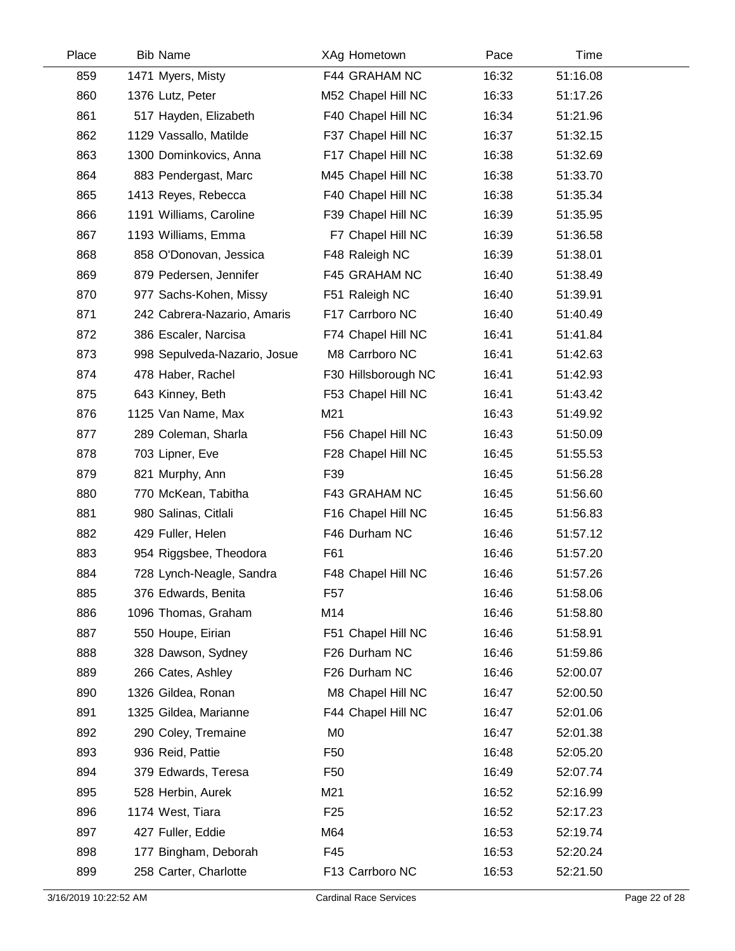| Place | <b>Bib Name</b>              | XAg Hometown        | Pace  | Time     |  |
|-------|------------------------------|---------------------|-------|----------|--|
| 859   | 1471 Myers, Misty            | F44 GRAHAM NC       | 16:32 | 51:16.08 |  |
| 860   | 1376 Lutz, Peter             | M52 Chapel Hill NC  | 16:33 | 51:17.26 |  |
| 861   | 517 Hayden, Elizabeth        | F40 Chapel Hill NC  | 16:34 | 51:21.96 |  |
| 862   | 1129 Vassallo, Matilde       | F37 Chapel Hill NC  | 16:37 | 51:32.15 |  |
| 863   | 1300 Dominkovics, Anna       | F17 Chapel Hill NC  | 16:38 | 51:32.69 |  |
| 864   | 883 Pendergast, Marc         | M45 Chapel Hill NC  | 16:38 | 51:33.70 |  |
| 865   | 1413 Reyes, Rebecca          | F40 Chapel Hill NC  | 16:38 | 51:35.34 |  |
| 866   | 1191 Williams, Caroline      | F39 Chapel Hill NC  | 16:39 | 51:35.95 |  |
| 867   | 1193 Williams, Emma          | F7 Chapel Hill NC   | 16:39 | 51:36.58 |  |
| 868   | 858 O'Donovan, Jessica       | F48 Raleigh NC      | 16:39 | 51:38.01 |  |
| 869   | 879 Pedersen, Jennifer       | F45 GRAHAM NC       | 16:40 | 51:38.49 |  |
| 870   | 977 Sachs-Kohen, Missy       | F51 Raleigh NC      | 16:40 | 51:39.91 |  |
| 871   | 242 Cabrera-Nazario, Amaris  | F17 Carrboro NC     | 16:40 | 51:40.49 |  |
| 872   | 386 Escaler, Narcisa         | F74 Chapel Hill NC  | 16:41 | 51:41.84 |  |
| 873   | 998 Sepulveda-Nazario, Josue | M8 Carrboro NC      | 16:41 | 51:42.63 |  |
| 874   | 478 Haber, Rachel            | F30 Hillsborough NC | 16:41 | 51:42.93 |  |
| 875   | 643 Kinney, Beth             | F53 Chapel Hill NC  | 16:41 | 51:43.42 |  |
| 876   | 1125 Van Name, Max           | M21                 | 16:43 | 51:49.92 |  |
| 877   | 289 Coleman, Sharla          | F56 Chapel Hill NC  | 16:43 | 51:50.09 |  |
| 878   | 703 Lipner, Eve              | F28 Chapel Hill NC  | 16:45 | 51:55.53 |  |
| 879   | 821 Murphy, Ann              | F39                 | 16:45 | 51:56.28 |  |
| 880   | 770 McKean, Tabitha          | F43 GRAHAM NC       | 16:45 | 51:56.60 |  |
| 881   | 980 Salinas, Citlali         | F16 Chapel Hill NC  | 16:45 | 51:56.83 |  |
| 882   | 429 Fuller, Helen            | F46 Durham NC       | 16:46 | 51:57.12 |  |
| 883   | 954 Riggsbee, Theodora       | F61                 | 16:46 | 51:57.20 |  |
| 884   | 728 Lynch-Neagle, Sandra     | F48 Chapel Hill NC  | 16:46 | 51:57.26 |  |
| 885   | 376 Edwards, Benita          | F <sub>57</sub>     | 16:46 | 51:58.06 |  |
| 886   | 1096 Thomas, Graham          | M14                 | 16:46 | 51:58.80 |  |
| 887   | 550 Houpe, Eirian            | F51 Chapel Hill NC  | 16:46 | 51:58.91 |  |
| 888   | 328 Dawson, Sydney           | F26 Durham NC       | 16:46 | 51:59.86 |  |
| 889   | 266 Cates, Ashley            | F26 Durham NC       | 16:46 | 52:00.07 |  |
| 890   | 1326 Gildea, Ronan           | M8 Chapel Hill NC   | 16:47 | 52:00.50 |  |
| 891   | 1325 Gildea, Marianne        | F44 Chapel Hill NC  | 16:47 | 52:01.06 |  |
| 892   | 290 Coley, Tremaine          | M <sub>0</sub>      | 16:47 | 52:01.38 |  |
| 893   | 936 Reid, Pattie             | F <sub>50</sub>     | 16:48 | 52:05.20 |  |
| 894   | 379 Edwards, Teresa          | F <sub>50</sub>     | 16:49 | 52:07.74 |  |
| 895   | 528 Herbin, Aurek            | M21                 | 16:52 | 52:16.99 |  |
| 896   | 1174 West, Tiara             | F <sub>25</sub>     | 16:52 | 52:17.23 |  |
| 897   | 427 Fuller, Eddie            | M64                 | 16:53 | 52:19.74 |  |
| 898   | 177 Bingham, Deborah         | F45                 | 16:53 | 52:20.24 |  |
| 899   | 258 Carter, Charlotte        | F13 Carrboro NC     | 16:53 | 52:21.50 |  |
|       |                              |                     |       |          |  |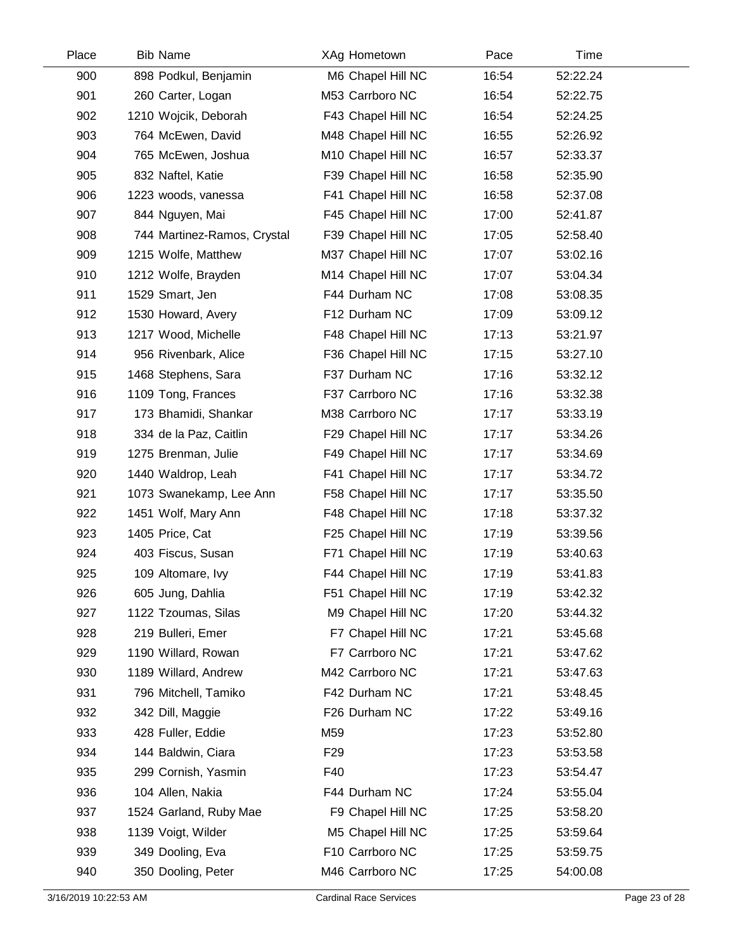| Place | <b>Bib Name</b>             | XAg Hometown       | Pace  | Time     |  |
|-------|-----------------------------|--------------------|-------|----------|--|
| 900   | 898 Podkul, Benjamin        | M6 Chapel Hill NC  | 16:54 | 52:22.24 |  |
| 901   | 260 Carter, Logan           | M53 Carrboro NC    | 16:54 | 52:22.75 |  |
| 902   | 1210 Wojcik, Deborah        | F43 Chapel Hill NC | 16:54 | 52:24.25 |  |
| 903   | 764 McEwen, David           | M48 Chapel Hill NC | 16:55 | 52:26.92 |  |
| 904   | 765 McEwen, Joshua          | M10 Chapel Hill NC | 16:57 | 52:33.37 |  |
| 905   | 832 Naftel, Katie           | F39 Chapel Hill NC | 16:58 | 52:35.90 |  |
| 906   | 1223 woods, vanessa         | F41 Chapel Hill NC | 16:58 | 52:37.08 |  |
| 907   | 844 Nguyen, Mai             | F45 Chapel Hill NC | 17:00 | 52:41.87 |  |
| 908   | 744 Martinez-Ramos, Crystal | F39 Chapel Hill NC | 17:05 | 52:58.40 |  |
| 909   | 1215 Wolfe, Matthew         | M37 Chapel Hill NC | 17:07 | 53:02.16 |  |
| 910   | 1212 Wolfe, Brayden         | M14 Chapel Hill NC | 17:07 | 53:04.34 |  |
| 911   | 1529 Smart, Jen             | F44 Durham NC      | 17:08 | 53:08.35 |  |
| 912   | 1530 Howard, Avery          | F12 Durham NC      | 17:09 | 53:09.12 |  |
| 913   | 1217 Wood, Michelle         | F48 Chapel Hill NC | 17:13 | 53:21.97 |  |
| 914   | 956 Rivenbark, Alice        | F36 Chapel Hill NC | 17:15 | 53:27.10 |  |
| 915   | 1468 Stephens, Sara         | F37 Durham NC      | 17:16 | 53:32.12 |  |
| 916   | 1109 Tong, Frances          | F37 Carrboro NC    | 17:16 | 53:32.38 |  |
| 917   | 173 Bhamidi, Shankar        | M38 Carrboro NC    | 17:17 | 53:33.19 |  |
| 918   | 334 de la Paz, Caitlin      | F29 Chapel Hill NC | 17:17 | 53:34.26 |  |
| 919   | 1275 Brenman, Julie         | F49 Chapel Hill NC | 17:17 | 53:34.69 |  |
| 920   | 1440 Waldrop, Leah          | F41 Chapel Hill NC | 17:17 | 53:34.72 |  |
| 921   | 1073 Swanekamp, Lee Ann     | F58 Chapel Hill NC | 17:17 | 53:35.50 |  |
| 922   | 1451 Wolf, Mary Ann         | F48 Chapel Hill NC | 17:18 | 53:37.32 |  |
| 923   | 1405 Price, Cat             | F25 Chapel Hill NC | 17:19 | 53:39.56 |  |
| 924   | 403 Fiscus, Susan           | F71 Chapel Hill NC | 17:19 | 53:40.63 |  |
| 925   | 109 Altomare, Ivy           | F44 Chapel Hill NC | 17:19 | 53:41.83 |  |
| 926   | 605 Jung, Dahlia            | F51 Chapel Hill NC | 17:19 | 53:42.32 |  |
| 927   | 1122 Tzoumas, Silas         | M9 Chapel Hill NC  | 17:20 | 53:44.32 |  |
| 928   | 219 Bulleri, Emer           | F7 Chapel Hill NC  | 17:21 | 53:45.68 |  |
| 929   | 1190 Willard, Rowan         | F7 Carrboro NC     | 17:21 | 53:47.62 |  |
| 930   | 1189 Willard, Andrew        | M42 Carrboro NC    | 17:21 | 53:47.63 |  |
| 931   | 796 Mitchell, Tamiko        | F42 Durham NC      | 17:21 | 53:48.45 |  |
| 932   | 342 Dill, Maggie            | F26 Durham NC      | 17:22 | 53:49.16 |  |
| 933   | 428 Fuller, Eddie           | M59                | 17:23 | 53:52.80 |  |
| 934   | 144 Baldwin, Ciara          | F <sub>29</sub>    | 17:23 | 53:53.58 |  |
| 935   | 299 Cornish, Yasmin         | F40                | 17:23 | 53:54.47 |  |
| 936   | 104 Allen, Nakia            | F44 Durham NC      | 17:24 | 53:55.04 |  |
| 937   | 1524 Garland, Ruby Mae      | F9 Chapel Hill NC  | 17:25 | 53:58.20 |  |
| 938   | 1139 Voigt, Wilder          | M5 Chapel Hill NC  | 17:25 | 53:59.64 |  |
| 939   | 349 Dooling, Eva            | F10 Carrboro NC    | 17:25 | 53:59.75 |  |
| 940   | 350 Dooling, Peter          | M46 Carrboro NC    | 17:25 | 54:00.08 |  |
|       |                             |                    |       |          |  |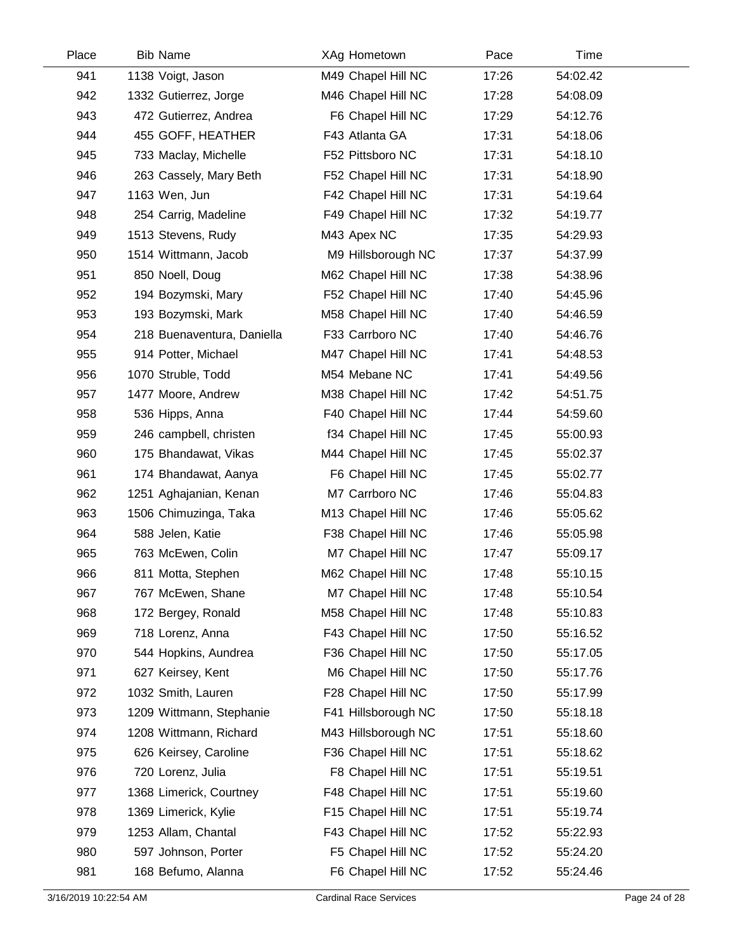| Place | <b>Bib Name</b>            | XAg Hometown        | Pace  | Time     |  |
|-------|----------------------------|---------------------|-------|----------|--|
| 941   | 1138 Voigt, Jason          | M49 Chapel Hill NC  | 17:26 | 54:02.42 |  |
| 942   | 1332 Gutierrez, Jorge      | M46 Chapel Hill NC  | 17:28 | 54:08.09 |  |
| 943   | 472 Gutierrez, Andrea      | F6 Chapel Hill NC   | 17:29 | 54:12.76 |  |
| 944   | 455 GOFF, HEATHER          | F43 Atlanta GA      | 17:31 | 54:18.06 |  |
| 945   | 733 Maclay, Michelle       | F52 Pittsboro NC    | 17:31 | 54:18.10 |  |
| 946   | 263 Cassely, Mary Beth     | F52 Chapel Hill NC  | 17:31 | 54:18.90 |  |
| 947   | 1163 Wen, Jun              | F42 Chapel Hill NC  | 17:31 | 54:19.64 |  |
| 948   | 254 Carrig, Madeline       | F49 Chapel Hill NC  | 17:32 | 54:19.77 |  |
| 949   | 1513 Stevens, Rudy         | M43 Apex NC         | 17:35 | 54:29.93 |  |
| 950   | 1514 Wittmann, Jacob       | M9 Hillsborough NC  | 17:37 | 54:37.99 |  |
| 951   | 850 Noell, Doug            | M62 Chapel Hill NC  | 17:38 | 54:38.96 |  |
| 952   | 194 Bozymski, Mary         | F52 Chapel Hill NC  | 17:40 | 54:45.96 |  |
| 953   | 193 Bozymski, Mark         | M58 Chapel Hill NC  | 17:40 | 54:46.59 |  |
| 954   | 218 Buenaventura, Daniella | F33 Carrboro NC     | 17:40 | 54:46.76 |  |
| 955   | 914 Potter, Michael        | M47 Chapel Hill NC  | 17:41 | 54:48.53 |  |
| 956   | 1070 Struble, Todd         | M54 Mebane NC       | 17:41 | 54:49.56 |  |
| 957   | 1477 Moore, Andrew         | M38 Chapel Hill NC  | 17:42 | 54:51.75 |  |
| 958   | 536 Hipps, Anna            | F40 Chapel Hill NC  | 17:44 | 54:59.60 |  |
| 959   | 246 campbell, christen     | f34 Chapel Hill NC  | 17:45 | 55:00.93 |  |
| 960   | 175 Bhandawat, Vikas       | M44 Chapel Hill NC  | 17:45 | 55:02.37 |  |
| 961   | 174 Bhandawat, Aanya       | F6 Chapel Hill NC   | 17:45 | 55:02.77 |  |
| 962   | 1251 Aghajanian, Kenan     | M7 Carrboro NC      | 17:46 | 55:04.83 |  |
| 963   | 1506 Chimuzinga, Taka      | M13 Chapel Hill NC  | 17:46 | 55:05.62 |  |
| 964   | 588 Jelen, Katie           | F38 Chapel Hill NC  | 17:46 | 55:05.98 |  |
| 965   | 763 McEwen, Colin          | M7 Chapel Hill NC   | 17:47 | 55:09.17 |  |
| 966   | 811 Motta, Stephen         | M62 Chapel Hill NC  | 17:48 | 55:10.15 |  |
| 967   | 767 McEwen, Shane          | M7 Chapel Hill NC   | 17:48 | 55:10.54 |  |
| 968   | 172 Bergey, Ronald         | M58 Chapel Hill NC  | 17:48 | 55:10.83 |  |
| 969   | 718 Lorenz, Anna           | F43 Chapel Hill NC  | 17:50 | 55:16.52 |  |
| 970   | 544 Hopkins, Aundrea       | F36 Chapel Hill NC  | 17:50 | 55:17.05 |  |
| 971   | 627 Keirsey, Kent          | M6 Chapel Hill NC   | 17:50 | 55:17.76 |  |
| 972   | 1032 Smith, Lauren         | F28 Chapel Hill NC  | 17:50 | 55:17.99 |  |
| 973   | 1209 Wittmann, Stephanie   | F41 Hillsborough NC | 17:50 | 55:18.18 |  |
| 974   | 1208 Wittmann, Richard     | M43 Hillsborough NC | 17:51 | 55:18.60 |  |
| 975   | 626 Keirsey, Caroline      | F36 Chapel Hill NC  | 17:51 | 55:18.62 |  |
| 976   | 720 Lorenz, Julia          | F8 Chapel Hill NC   | 17:51 | 55:19.51 |  |
| 977   | 1368 Limerick, Courtney    | F48 Chapel Hill NC  | 17:51 | 55:19.60 |  |
| 978   | 1369 Limerick, Kylie       | F15 Chapel Hill NC  | 17:51 | 55:19.74 |  |
| 979   | 1253 Allam, Chantal        | F43 Chapel Hill NC  | 17:52 | 55:22.93 |  |
| 980   | 597 Johnson, Porter        | F5 Chapel Hill NC   | 17:52 | 55:24.20 |  |
| 981   | 168 Befumo, Alanna         | F6 Chapel Hill NC   | 17:52 | 55:24.46 |  |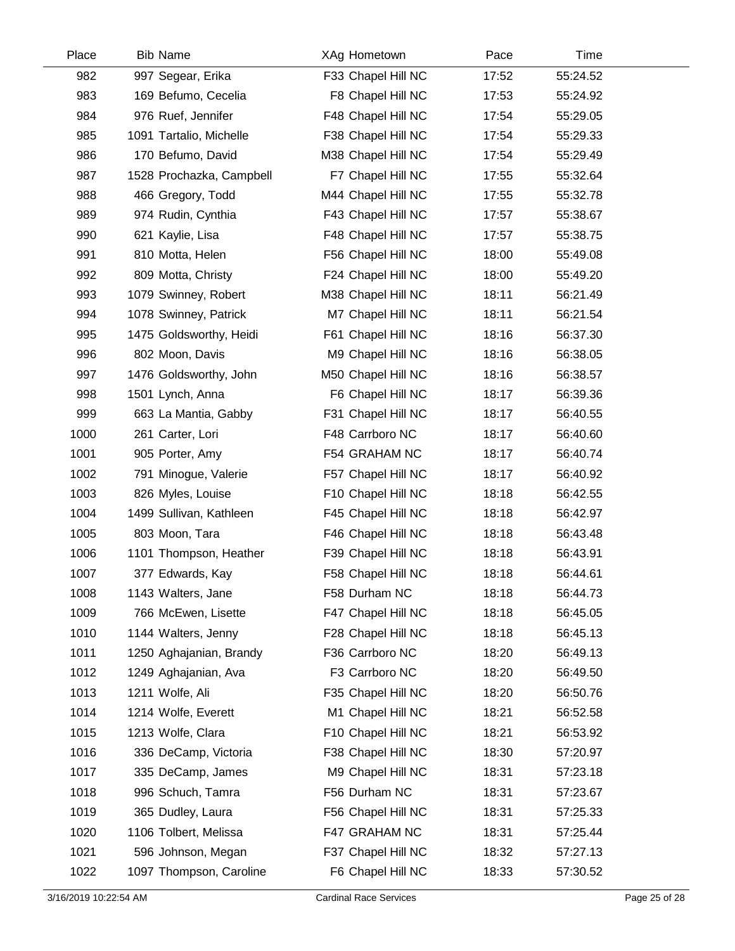| Place | <b>Bib Name</b>          | XAg Hometown       | Pace  | Time     |  |
|-------|--------------------------|--------------------|-------|----------|--|
| 982   | 997 Segear, Erika        | F33 Chapel Hill NC | 17:52 | 55:24.52 |  |
| 983   | 169 Befumo, Cecelia      | F8 Chapel Hill NC  | 17:53 | 55:24.92 |  |
| 984   | 976 Ruef, Jennifer       | F48 Chapel Hill NC | 17:54 | 55:29.05 |  |
| 985   | 1091 Tartalio, Michelle  | F38 Chapel Hill NC | 17:54 | 55:29.33 |  |
| 986   | 170 Befumo, David        | M38 Chapel Hill NC | 17:54 | 55:29.49 |  |
| 987   | 1528 Prochazka, Campbell | F7 Chapel Hill NC  | 17:55 | 55:32.64 |  |
| 988   | 466 Gregory, Todd        | M44 Chapel Hill NC | 17:55 | 55:32.78 |  |
| 989   | 974 Rudin, Cynthia       | F43 Chapel Hill NC | 17:57 | 55:38.67 |  |
| 990   | 621 Kaylie, Lisa         | F48 Chapel Hill NC | 17:57 | 55:38.75 |  |
| 991   | 810 Motta, Helen         | F56 Chapel Hill NC | 18:00 | 55:49.08 |  |
| 992   | 809 Motta, Christy       | F24 Chapel Hill NC | 18:00 | 55:49.20 |  |
| 993   | 1079 Swinney, Robert     | M38 Chapel Hill NC | 18:11 | 56:21.49 |  |
| 994   | 1078 Swinney, Patrick    | M7 Chapel Hill NC  | 18:11 | 56:21.54 |  |
| 995   | 1475 Goldsworthy, Heidi  | F61 Chapel Hill NC | 18:16 | 56:37.30 |  |
| 996   | 802 Moon, Davis          | M9 Chapel Hill NC  | 18:16 | 56:38.05 |  |
| 997   | 1476 Goldsworthy, John   | M50 Chapel Hill NC | 18:16 | 56:38.57 |  |
| 998   | 1501 Lynch, Anna         | F6 Chapel Hill NC  | 18:17 | 56:39.36 |  |
| 999   | 663 La Mantia, Gabby     | F31 Chapel Hill NC | 18:17 | 56:40.55 |  |
| 1000  | 261 Carter, Lori         | F48 Carrboro NC    | 18:17 | 56:40.60 |  |
| 1001  | 905 Porter, Amy          | F54 GRAHAM NC      | 18:17 | 56:40.74 |  |
| 1002  | 791 Minogue, Valerie     | F57 Chapel Hill NC | 18:17 | 56:40.92 |  |
| 1003  | 826 Myles, Louise        | F10 Chapel Hill NC | 18:18 | 56:42.55 |  |
| 1004  | 1499 Sullivan, Kathleen  | F45 Chapel Hill NC | 18:18 | 56:42.97 |  |
| 1005  | 803 Moon, Tara           | F46 Chapel Hill NC | 18:18 | 56:43.48 |  |
| 1006  | 1101 Thompson, Heather   | F39 Chapel Hill NC | 18:18 | 56:43.91 |  |
| 1007  | 377 Edwards, Kay         | F58 Chapel Hill NC | 18:18 | 56:44.61 |  |
| 1008  | 1143 Walters, Jane       | F58 Durham NC      | 18:18 | 56:44.73 |  |
| 1009  | 766 McEwen, Lisette      | F47 Chapel Hill NC | 18:18 | 56:45.05 |  |
| 1010  | 1144 Walters, Jenny      | F28 Chapel Hill NC | 18:18 | 56:45.13 |  |
| 1011  | 1250 Aghajanian, Brandy  | F36 Carrboro NC    | 18:20 | 56:49.13 |  |
| 1012  | 1249 Aghajanian, Ava     | F3 Carrboro NC     | 18:20 | 56:49.50 |  |
| 1013  | 1211 Wolfe, Ali          | F35 Chapel Hill NC | 18:20 | 56:50.76 |  |
| 1014  | 1214 Wolfe, Everett      | M1 Chapel Hill NC  | 18:21 | 56:52.58 |  |
| 1015  | 1213 Wolfe, Clara        | F10 Chapel Hill NC | 18:21 | 56:53.92 |  |
| 1016  | 336 DeCamp, Victoria     | F38 Chapel Hill NC | 18:30 | 57:20.97 |  |
| 1017  | 335 DeCamp, James        | M9 Chapel Hill NC  | 18:31 | 57:23.18 |  |
| 1018  | 996 Schuch, Tamra        | F56 Durham NC      | 18:31 | 57:23.67 |  |
| 1019  | 365 Dudley, Laura        | F56 Chapel Hill NC | 18:31 | 57:25.33 |  |
| 1020  | 1106 Tolbert, Melissa    | F47 GRAHAM NC      | 18:31 | 57:25.44 |  |
| 1021  | 596 Johnson, Megan       | F37 Chapel Hill NC | 18:32 | 57:27.13 |  |
| 1022  | 1097 Thompson, Caroline  | F6 Chapel Hill NC  | 18:33 | 57:30.52 |  |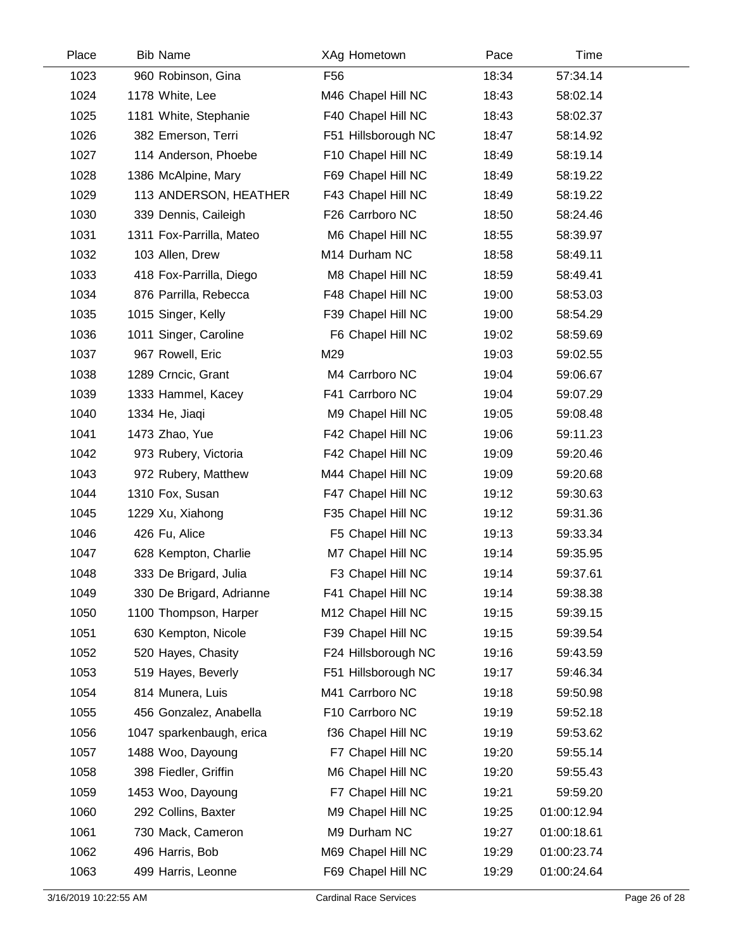| Place | <b>Bib Name</b>          | XAg Hometown        | Pace  | Time        |  |
|-------|--------------------------|---------------------|-------|-------------|--|
| 1023  | 960 Robinson, Gina       | F56                 | 18:34 | 57:34.14    |  |
| 1024  | 1178 White, Lee          | M46 Chapel Hill NC  | 18:43 | 58:02.14    |  |
| 1025  | 1181 White, Stephanie    | F40 Chapel Hill NC  | 18:43 | 58:02.37    |  |
| 1026  | 382 Emerson, Terri       | F51 Hillsborough NC | 18:47 | 58:14.92    |  |
| 1027  | 114 Anderson, Phoebe     | F10 Chapel Hill NC  | 18:49 | 58:19.14    |  |
| 1028  | 1386 McAlpine, Mary      | F69 Chapel Hill NC  | 18:49 | 58:19.22    |  |
| 1029  | 113 ANDERSON, HEATHER    | F43 Chapel Hill NC  | 18:49 | 58:19.22    |  |
| 1030  | 339 Dennis, Caileigh     | F26 Carrboro NC     | 18:50 | 58:24.46    |  |
| 1031  | 1311 Fox-Parrilla, Mateo | M6 Chapel Hill NC   | 18:55 | 58:39.97    |  |
| 1032  | 103 Allen, Drew          | M14 Durham NC       | 18:58 | 58:49.11    |  |
| 1033  | 418 Fox-Parrilla, Diego  | M8 Chapel Hill NC   | 18:59 | 58:49.41    |  |
| 1034  | 876 Parrilla, Rebecca    | F48 Chapel Hill NC  | 19:00 | 58:53.03    |  |
| 1035  | 1015 Singer, Kelly       | F39 Chapel Hill NC  | 19:00 | 58:54.29    |  |
| 1036  | 1011 Singer, Caroline    | F6 Chapel Hill NC   | 19:02 | 58:59.69    |  |
| 1037  | 967 Rowell, Eric         | M29                 | 19:03 | 59:02.55    |  |
| 1038  | 1289 Crncic, Grant       | M4 Carrboro NC      | 19:04 | 59:06.67    |  |
| 1039  | 1333 Hammel, Kacey       | F41 Carrboro NC     | 19:04 | 59:07.29    |  |
| 1040  | 1334 He, Jiaqi           | M9 Chapel Hill NC   | 19:05 | 59:08.48    |  |
| 1041  | 1473 Zhao, Yue           | F42 Chapel Hill NC  | 19:06 | 59:11.23    |  |
| 1042  | 973 Rubery, Victoria     | F42 Chapel Hill NC  | 19:09 | 59:20.46    |  |
| 1043  | 972 Rubery, Matthew      | M44 Chapel Hill NC  | 19:09 | 59:20.68    |  |
| 1044  | 1310 Fox, Susan          | F47 Chapel Hill NC  | 19:12 | 59:30.63    |  |
| 1045  | 1229 Xu, Xiahong         | F35 Chapel Hill NC  | 19:12 | 59:31.36    |  |
| 1046  | 426 Fu, Alice            | F5 Chapel Hill NC   | 19:13 | 59:33.34    |  |
| 1047  | 628 Kempton, Charlie     | M7 Chapel Hill NC   | 19:14 | 59:35.95    |  |
| 1048  | 333 De Brigard, Julia    | F3 Chapel Hill NC   | 19:14 | 59:37.61    |  |
| 1049  | 330 De Brigard, Adrianne | F41 Chapel Hill NC  | 19:14 | 59:38.38    |  |
| 1050  | 1100 Thompson, Harper    | M12 Chapel Hill NC  | 19:15 | 59:39.15    |  |
| 1051  | 630 Kempton, Nicole      | F39 Chapel Hill NC  | 19:15 | 59:39.54    |  |
| 1052  | 520 Hayes, Chasity       | F24 Hillsborough NC | 19:16 | 59:43.59    |  |
| 1053  | 519 Hayes, Beverly       | F51 Hillsborough NC | 19:17 | 59:46.34    |  |
| 1054  | 814 Munera, Luis         | M41 Carrboro NC     | 19:18 | 59:50.98    |  |
| 1055  | 456 Gonzalez, Anabella   | F10 Carrboro NC     | 19:19 | 59:52.18    |  |
| 1056  | 1047 sparkenbaugh, erica | f36 Chapel Hill NC  | 19:19 | 59:53.62    |  |
| 1057  | 1488 Woo, Dayoung        | F7 Chapel Hill NC   | 19:20 | 59:55.14    |  |
| 1058  | 398 Fiedler, Griffin     | M6 Chapel Hill NC   | 19:20 | 59:55.43    |  |
| 1059  | 1453 Woo, Dayoung        | F7 Chapel Hill NC   | 19:21 | 59:59.20    |  |
| 1060  | 292 Collins, Baxter      | M9 Chapel Hill NC   | 19:25 | 01:00:12.94 |  |
| 1061  | 730 Mack, Cameron        | M9 Durham NC        | 19:27 | 01:00:18.61 |  |
| 1062  | 496 Harris, Bob          | M69 Chapel Hill NC  | 19:29 | 01:00:23.74 |  |
| 1063  | 499 Harris, Leonne       | F69 Chapel Hill NC  | 19:29 | 01:00:24.64 |  |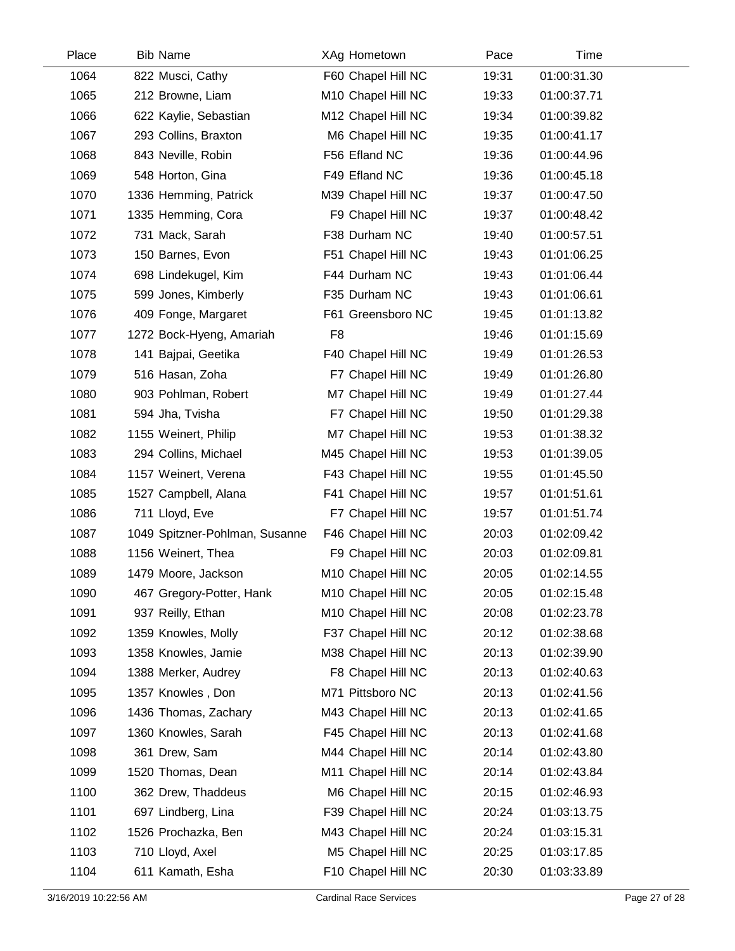| Place | <b>Bib Name</b>                | XAg Hometown       | Pace  | Time        |  |
|-------|--------------------------------|--------------------|-------|-------------|--|
| 1064  | 822 Musci, Cathy               | F60 Chapel Hill NC | 19:31 | 01:00:31.30 |  |
| 1065  | 212 Browne, Liam               | M10 Chapel Hill NC | 19:33 | 01:00:37.71 |  |
| 1066  | 622 Kaylie, Sebastian          | M12 Chapel Hill NC | 19:34 | 01:00:39.82 |  |
| 1067  | 293 Collins, Braxton           | M6 Chapel Hill NC  | 19:35 | 01:00:41.17 |  |
| 1068  | 843 Neville, Robin             | F56 Efland NC      | 19:36 | 01:00:44.96 |  |
| 1069  | 548 Horton, Gina               | F49 Efland NC      | 19:36 | 01:00:45.18 |  |
| 1070  | 1336 Hemming, Patrick          | M39 Chapel Hill NC | 19:37 | 01:00:47.50 |  |
| 1071  | 1335 Hemming, Cora             | F9 Chapel Hill NC  | 19:37 | 01:00:48.42 |  |
| 1072  | 731 Mack, Sarah                | F38 Durham NC      | 19:40 | 01:00:57.51 |  |
| 1073  | 150 Barnes, Evon               | F51 Chapel Hill NC | 19:43 | 01:01:06.25 |  |
| 1074  | 698 Lindekugel, Kim            | F44 Durham NC      | 19:43 | 01:01:06.44 |  |
| 1075  | 599 Jones, Kimberly            | F35 Durham NC      | 19:43 | 01:01:06.61 |  |
| 1076  | 409 Fonge, Margaret            | F61 Greensboro NC  | 19:45 | 01:01:13.82 |  |
| 1077  | 1272 Bock-Hyeng, Amariah       | F <sub>8</sub>     | 19:46 | 01:01:15.69 |  |
| 1078  | 141 Bajpai, Geetika            | F40 Chapel Hill NC | 19:49 | 01:01:26.53 |  |
| 1079  | 516 Hasan, Zoha                | F7 Chapel Hill NC  | 19:49 | 01:01:26.80 |  |
| 1080  | 903 Pohlman, Robert            | M7 Chapel Hill NC  | 19:49 | 01:01:27.44 |  |
| 1081  | 594 Jha, Tvisha                | F7 Chapel Hill NC  | 19:50 | 01:01:29.38 |  |
| 1082  | 1155 Weinert, Philip           | M7 Chapel Hill NC  | 19:53 | 01:01:38.32 |  |
| 1083  | 294 Collins, Michael           | M45 Chapel Hill NC | 19:53 | 01:01:39.05 |  |
| 1084  | 1157 Weinert, Verena           | F43 Chapel Hill NC | 19:55 | 01:01:45.50 |  |
| 1085  | 1527 Campbell, Alana           | F41 Chapel Hill NC | 19:57 | 01:01:51.61 |  |
| 1086  | 711 Lloyd, Eve                 | F7 Chapel Hill NC  | 19:57 | 01:01:51.74 |  |
| 1087  | 1049 Spitzner-Pohlman, Susanne | F46 Chapel Hill NC | 20:03 | 01:02:09.42 |  |
| 1088  | 1156 Weinert, Thea             | F9 Chapel Hill NC  | 20:03 | 01:02:09.81 |  |
| 1089  | 1479 Moore, Jackson            | M10 Chapel Hill NC | 20:05 | 01:02:14.55 |  |
| 1090  | 467 Gregory-Potter, Hank       | M10 Chapel Hill NC | 20:05 | 01:02:15.48 |  |
| 1091  | 937 Reilly, Ethan              | M10 Chapel Hill NC | 20:08 | 01:02:23.78 |  |
| 1092  | 1359 Knowles, Molly            | F37 Chapel Hill NC | 20:12 | 01:02:38.68 |  |
| 1093  | 1358 Knowles, Jamie            | M38 Chapel Hill NC | 20:13 | 01:02:39.90 |  |
| 1094  | 1388 Merker, Audrey            | F8 Chapel Hill NC  | 20:13 | 01:02:40.63 |  |
| 1095  | 1357 Knowles, Don              | M71 Pittsboro NC   | 20:13 | 01:02:41.56 |  |
| 1096  | 1436 Thomas, Zachary           | M43 Chapel Hill NC | 20:13 | 01:02:41.65 |  |
| 1097  | 1360 Knowles, Sarah            | F45 Chapel Hill NC | 20:13 | 01:02:41.68 |  |
| 1098  | 361 Drew, Sam                  | M44 Chapel Hill NC | 20:14 | 01:02:43.80 |  |
| 1099  | 1520 Thomas, Dean              | M11 Chapel Hill NC | 20:14 | 01:02:43.84 |  |
| 1100  | 362 Drew, Thaddeus             | M6 Chapel Hill NC  | 20:15 | 01:02:46.93 |  |
| 1101  | 697 Lindberg, Lina             | F39 Chapel Hill NC | 20:24 | 01:03:13.75 |  |
| 1102  | 1526 Prochazka, Ben            | M43 Chapel Hill NC | 20:24 | 01:03:15.31 |  |
| 1103  | 710 Lloyd, Axel                | M5 Chapel Hill NC  | 20:25 | 01:03:17.85 |  |
| 1104  | 611 Kamath, Esha               | F10 Chapel Hill NC | 20:30 | 01:03:33.89 |  |

 $\overline{\phantom{0}}$